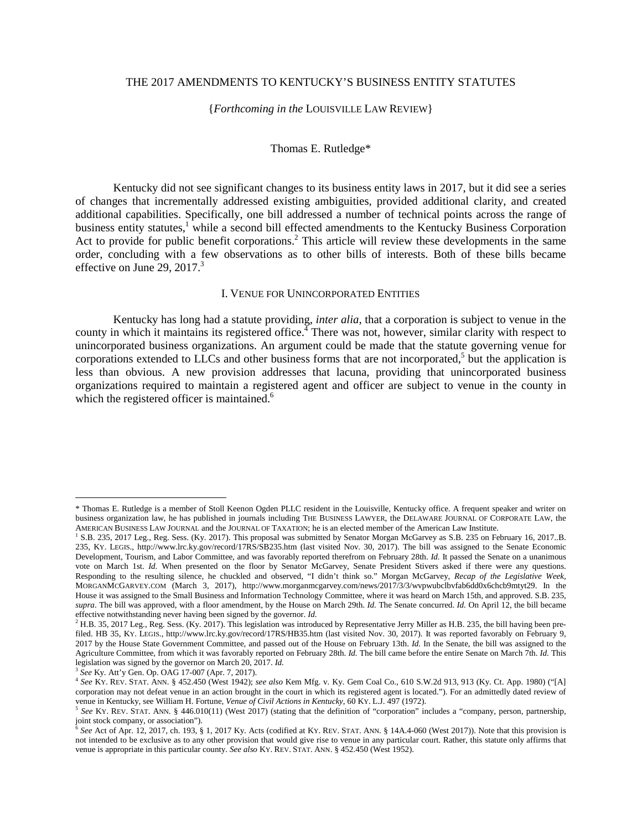# THE 2017 AMENDMENTS TO KENTUCKY'S BUSINESS ENTITY STATUTES

#### {*Forthcoming in the* LOUISVILLE LAW REVIEW}

#### Thomas E. Rutledge\*

Kentucky did not see significant changes to its business entity laws in 2017, but it did see a series of changes that incrementally addressed existing ambiguities, provided additional clarity, and created additional capabilities. Specifically, one bill addressed a number of technical points across the range of business entity statutes,<sup>1</sup> while a second bill effected amendments to the Kentucky Business Corporation Act to provide for public benefit corporations.<sup>2</sup> This article will review these developments in the same order, concluding with a few observations as to other bills of interests. Both of these bills became effective on June 29,  $2017<sup>3</sup>$ 

#### I. VENUE FOR UNINCORPORATED ENTITIES

Kentucky has long had a statute providing, *inter alia*, that a corporation is subject to venue in the county in which it maintains its registered office.<sup> $\frac{1}{4}$ </sup> There was not, however, similar clarity with respect to unincorporated business organizations. An argument could be made that the statute governing venue for corporations extended to LLCs and other business forms that are not incorporated, $5$  but the application is less than obvious. A new provision addresses that lacuna, providing that unincorporated business organizations required to maintain a registered agent and officer are subject to venue in the county in which the registered officer is maintained.<sup>6</sup>

<sup>\*</sup> Thomas E. Rutledge is a member of Stoll Keenon Ogden PLLC resident in the Louisville, Kentucky office. A frequent speaker and writer on business organization law, he has published in journals including THE BUSINESS LAWYER, the DELAWARE JOURNAL OF CORPORATE LAW, the AMERICAN BUSINESS LAW JOURNAL and the JOURNAL OF TAXATION; he is an elected member of the American Law Institute.

<sup>&</sup>lt;sup>1</sup> S.B. 235, 2017 Leg., Reg. Sess. (Ky. 2017). This proposal was submitted by Senator Morgan McGarvey as S.B. 235 on February 16, 2017..B. 235, KY. LEGIS., http://www.lrc.ky.gov/record/17RS/SB235.htm (last visited Nov. 30, 2017). The bill was assigned to the Senate Economic Development, Tourism, and Labor Committee, and was favorably reported therefrom on February 28th. *Id.* It passed the Senate on a unanimous vote on March 1st. *Id.* When presented on the floor by Senator McGarvey, Senate President Stivers asked if there were any questions. Responding to the resulting silence, he chuckled and observed, "I didn't think so." Morgan McGarvey, *Recap of the Legislative Week*, MORGANMCGARVEY.COM (March 3, 2017), http://www.morganmcgarvey.com/news/2017/3/3/wvpwubclbvfab6dd0x6chcb9mtyt29. In the House it was assigned to the Small Business and Information Technology Committee, where it was heard on March 15th, and approved. S.B. 235, *supra*. The bill was approved, with a floor amendment, by the House on March 29th. *Id.* The Senate concurred. *Id.* On April 12, the bill became effective notwithstanding never having been signed by the governor. Id.<br><sup>2</sup> H.B. 35, 2017 Leg., Reg. Sess. (Ky. 2017). This legislation was introduced by Representative Jerry Miller as H.B. 235, the bill having been pre-

filed. HB 35, KY. LEGIS., http://www.lrc.ky.gov/record/17RS/HB35.htm (last visited Nov. 30, 2017). It was reported favorably on February 9, 2017 by the House State Government Committee, and passed out of the House on February 13th. *Id.* In the Senate, the bill was assigned to the Agriculture Committee, from which it was favorably reported on February 28th. *Id.* The bill came before the entire Senate on March 7th. *Id.* This legislation was signed by the governor on March 20, 2017. *Id.*

<sup>3</sup> *See* Ky. Att'y Gen. Op. OAG 17-007 (Apr. 7, 2017).

<sup>4</sup> *See* KY. REV. STAT. ANN. § 452.450 (West 1942); *see also* Kem Mfg. v. Ky. Gem Coal Co., 610 S.W.2d 913, 913 (Ky. Ct. App. 1980) ("[A] corporation may not defeat venue in an action brought in the court in which its registered agent is located."). For an admittedly dated review of venue in Kentucky, see William H. Fortune, *Venue of Civil Actions in Kentucky*, 60 KY. L.J. 497 (1972).

<sup>5</sup> *See* KY. REV. STAT. ANN. § 446.010(11) (West 2017) (stating that the definition of "corporation" includes a "company, person, partnership, joint stock company, or association").<br>  $^{6}$  See Act of Apr 12, 2017, sh, 102, s.

*See* Act of Apr. 12, 2017, ch. 193, § 1, 2017 Ky. Acts (codified at KY. REV. STAT. ANN. § 14A.4-060 (West 2017)). Note that this provision is not intended to be exclusive as to any other provision that would give rise to venue in any particular court. Rather, this statute only affirms that venue is appropriate in this particular county. *See also* KY. REV. STAT. ANN. § 452.450 (West 1952).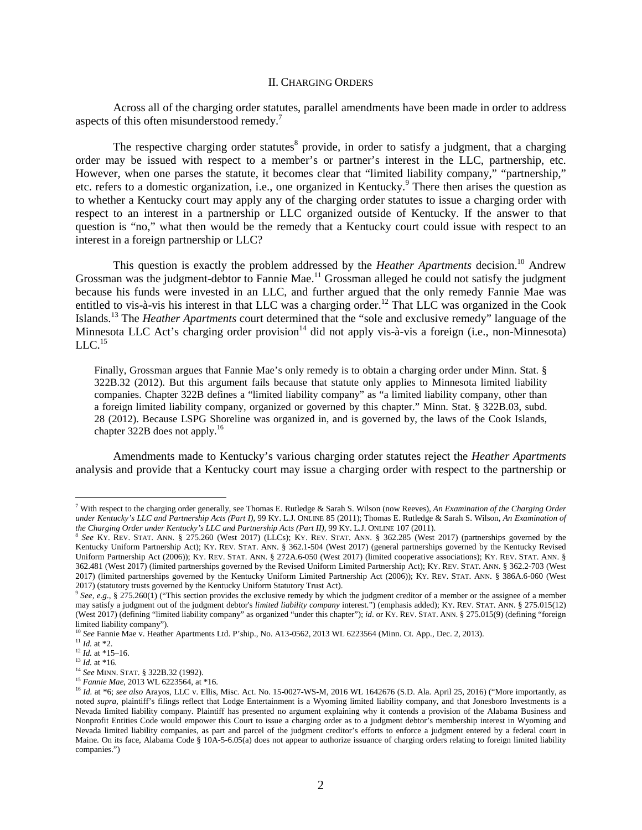#### II. CHARGING ORDERS

Across all of the charging order statutes, parallel amendments have been made in order to address aspects of this often misunderstood remedy.<sup>7</sup>

The respective charging order statutes<sup>8</sup> provide, in order to satisfy a judgment, that a charging order may be issued with respect to a member's or partner's interest in the LLC, partnership, etc. However, when one parses the statute, it becomes clear that "limited liability company," "partnership," etc. refers to a domestic organization, i.e., one organized in Kentucky.<sup>9</sup> There then arises the question as to whether a Kentucky court may apply any of the charging order statutes to issue a charging order with respect to an interest in a partnership or LLC organized outside of Kentucky. If the answer to that question is "no," what then would be the remedy that a Kentucky court could issue with respect to an interest in a foreign partnership or LLC?

This question is exactly the problem addressed by the *Heather Apartments* decision.<sup>10</sup> Andrew Grossman was the judgment-debtor to Fannie Mae.<sup>11</sup> Grossman alleged he could not satisfy the judgment because his funds were invested in an LLC, and further argued that the only remedy Fannie Mae was entitled to vis-à-vis his interest in that LLC was a charging order.<sup>12</sup> That LLC was organized in the Cook Islands.<sup>13</sup> The *Heather Apartments* court determined that the "sole and exclusive remedy" language of the Minnesota LLC Act's charging order provision<sup>14</sup> did not apply vis-à-vis a foreign (i.e., non-Minnesota)  $LLC<sup>15</sup>$ 

Finally, Grossman argues that Fannie Mae's only remedy is to obtain a charging order under Minn. Stat. § 322B.32 (2012). But this argument fails because that statute only applies to Minnesota limited liability companies. Chapter 322B defines a "limited liability company" as "a limited liability company, other than a foreign limited liability company, organized or governed by this chapter." Minn. Stat. § 322B.03, subd. 28 (2012). Because LSPG Shoreline was organized in, and is governed by, the laws of the Cook Islands, chapter 322B does not apply.<sup>16</sup>

Amendments made to Kentucky's various charging order statutes reject the *Heather Apartments* analysis and provide that a Kentucky court may issue a charging order with respect to the partnership or

<sup>7</sup> With respect to the charging order generally, see Thomas E. Rutledge & Sarah S. Wilson (now Reeves), *An Examination of the Charging Order under Kentucky's LLC and Partnership Acts (Part I)*, 99 KY. L.J. ONLINE 85 (2011); Thomas E. Rutledge & Sarah S. Wilson, *An Examination of the Charging Order under Kentucky's LLC and Partnership Acts (Part II)*, 99 KY. L.J. ONLINE 107 (2011).

<sup>8</sup> *See* KY. REV. STAT. ANN. § 275.260 (West 2017) (LLCs); KY. REV. STAT. ANN. § 362.285 (West 2017) (partnerships governed by the Kentucky Uniform Partnership Act); KY. REV. STAT. ANN. § 362.1-504 (West 2017) (general partnerships governed by the Kentucky Revised Uniform Partnership Act (2006)); KY. REV. STAT. ANN. § 272A.6-050 (West 2017) (limited cooperative associations); KY. REV. STAT. ANN. § 362.481 (West 2017) (limited partnerships governed by the Revised Uniform Limited Partnership Act); KY. REV. STAT. ANN. § 362.2-703 (West 2017) (limited partnerships governed by the Kentucky Uniform Limited Partnership Act (2006)); KY. REV. STAT. ANN. § 386A.6-060 (West 2017) (statutory trusts governed by the Kentucky Uniform Statutory Trust Act).

<sup>9</sup> *See, e*.*g*., § 275.260(1) ("This section provides the exclusive remedy by which the judgment creditor of a member or the assignee of a member may satisfy a judgment out of the judgment debtor's *limited liability company* interest.") (emphasis added); KY. REV. STAT. ANN. § 275.015(12) (West 2017) (defining "limited liability company" as organized "under this chapter"); *id*. or KY. REV. STAT. ANN. § 275.015(9) (defining "foreign limited liability company").

<sup>10</sup> *See* Fannie Mae v. Heather Apartments Ltd. P'ship., No. A13-0562, 2013 WL 6223564 (Minn. Ct. App., Dec. 2, 2013).

<sup>11</sup> *Id.* at \*2.

 $12$  *Id.* at \*15–16.

 $\frac{13}{10}$  *Id.* at \*16.

<sup>14</sup> *See* MINN. STAT. § 322B.32 (1992). <sup>15</sup> *Fannie Mae*, 2013 WL 6223564, at \*16.

<sup>16</sup> *Id.* at \*6; *see also* Arayos, LLC v. Ellis, Misc. Act. No. 15-0027-WS-M, 2016 WL 1642676 (S.D. Ala. April 25, 2016) ("More importantly, as noted *supra*, plaintiff's filings reflect that Lodge Entertainment is a Wyoming limited liability company, and that Jonesboro Investments is a Nevada limited liability company. Plaintiff has presented no argument explaining why it contends a provision of the Alabama Business and Nonprofit Entities Code would empower this Court to issue a charging order as to a judgment debtor's membership interest in Wyoming and Nevada limited liability companies, as part and parcel of the judgment creditor's efforts to enforce a judgment entered by a federal court in Maine. On its face, Alabama Code § 10A-5-6.05(a) does not appear to authorize issuance of charging orders relating to foreign limited liability companies.")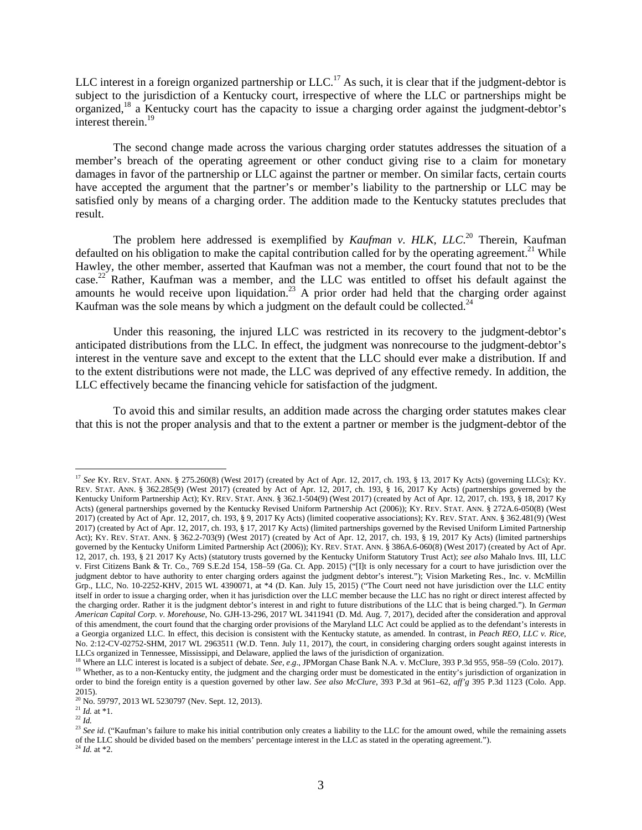LLC interest in a foreign organized partnership or  $LLC<sup>17</sup>$  As such, it is clear that if the judgment-debtor is subject to the jurisdiction of a Kentucky court, irrespective of where the LLC or partnerships might be organized,<sup>18</sup> a Kentucky court has the capacity to issue a charging order against the judgment-debtor's interest therein.<sup>19</sup>

The second change made across the various charging order statutes addresses the situation of a member's breach of the operating agreement or other conduct giving rise to a claim for monetary damages in favor of the partnership or LLC against the partner or member. On similar facts, certain courts have accepted the argument that the partner's or member's liability to the partnership or LLC may be satisfied only by means of a charging order. The addition made to the Kentucky statutes precludes that result.

The problem here addressed is exemplified by *Kaufman v. HLK, LLC*.<sup>20</sup> Therein, Kaufman defaulted on his obligation to make the capital contribution called for by the operating agreement.<sup>21</sup> While Hawley, the other member, asserted that Kaufman was not a member, the court found that not to be the case.<sup>22</sup> Rather, Kaufman was a member, and the LLC was entitled to offset his default against the amounts he would receive upon liquidation.<sup>23</sup> A prior order had held that the charging order against Kaufman was the sole means by which a judgment on the default could be collected.<sup>24</sup>

Under this reasoning, the injured LLC was restricted in its recovery to the judgment-debtor's anticipated distributions from the LLC. In effect, the judgment was nonrecourse to the judgment-debtor's interest in the venture save and except to the extent that the LLC should ever make a distribution. If and to the extent distributions were not made, the LLC was deprived of any effective remedy. In addition, the LLC effectively became the financing vehicle for satisfaction of the judgment.

To avoid this and similar results, an addition made across the charging order statutes makes clear that this is not the proper analysis and that to the extent a partner or member is the judgment-debtor of the

 $^{21}$  *Id.* at \*1.

 $^{22}$  *Id.* 

<sup>&</sup>lt;sup>17</sup> See KY. REV. STAT. ANN. § 275.260(8) (West 2017) (created by Act of Apr. 12, 2017, ch. 193, § 13, 2017 Ky Acts) (governing LLCs); KY. REV. STAT. ANN. § 362.285(9) (West 2017) (created by Act of Apr. 12, 2017, ch. 193, § 16, 2017 Ky Acts) (partnerships governed by the Kentucky Uniform Partnership Act); KY. REV. STAT. ANN. § 362.1-504(9) (West 2017) (created by Act of Apr. 12, 2017, ch. 193, § 18, 2017 Ky Acts) (general partnerships governed by the Kentucky Revised Uniform Partnership Act (2006)); KY. REV. STAT. ANN. § 272A.6-050(8) (West 2017) (created by Act of Apr. 12, 2017, ch. 193, § 9, 2017 Ky Acts) (limited cooperative associations); KY. REV. STAT. ANN. § 362.481(9) (West 2017) (created by Act of Apr. 12, 2017, ch. 193, § 17, 2017 Ky Acts) (limited partnerships governed by the Revised Uniform Limited Partnership Act); KY. REV. STAT. ANN. § 362.2-703(9) (West 2017) (created by Act of Apr. 12, 2017, ch. 193, § 19, 2017 Ky Acts) (limited partnerships governed by the Kentucky Uniform Limited Partnership Act (2006)); KY. REV. STAT. ANN. § 386A.6-060(8) (West 2017) (created by Act of Apr. 12, 2017, ch. 193, § 21 2017 Ky Acts) (statutory trusts governed by the Kentucky Uniform Statutory Trust Act); *see also* Mahalo Invs. III, LLC v. First Citizens Bank & Tr. Co., 769 S.E.2d 154, 158–59 (Ga. Ct. App. 2015) ("[I]t is only necessary for a court to have jurisdiction over the judgment debtor to have authority to enter charging orders against the judgment debtor's interest."); Vision Marketing Res., Inc. v. McMillin Grp., LLC, No. 10-2252-KHV, 2015 WL 4390071, at \*4 (D. Kan. July 15, 2015) ("The Court need not have jurisdiction over the LLC entity itself in order to issue a charging order, when it has jurisdiction over the LLC member because the LLC has no right or direct interest affected by the charging order. Rather it is the judgment debtor's interest in and right to future distributions of the LLC that is being charged."). In *German American Capital Corp. v. Morehouse*, No. GJH-13-296, 2017 WL 3411941 (D. Md. Aug. 7, 2017), decided after the consideration and approval of this amendment, the court found that the charging order provisions of the Maryland LLC Act could be applied as to the defendant's interests in a Georgia organized LLC. In effect, this decision is consistent with the Kentucky statute, as amended. In contrast, in *Peach REO, LLC v. Rice*, No. 2:12-CV-02752-SHM, 2017 WL 2963511 (W.D. Tenn. July 11, 2017), the court, in considering charging orders sought against interests in LLCs organized in Tennessee, Mississippi, and Delaware, applied the laws of the jurisdiction of organization.

<sup>&</sup>lt;sup>18</sup> Where an LLC interest is located is a subject of debate. *See*, *e.g.*, JPMorgan Chase Bank N.A. v. McClure, 393 P.3d 955, 958–59 (Colo. 2017). <sup>19</sup> Whether, as to a non-Kentucky entity, the judgment and the charging order must be domesticated in the entity's jurisdiction of organization in order to bind the foreign entity is a question governed by other law. *See also McClure*, 393 P.3d at 961–62, *aff'g* 395 P.3d 1123 (Colo. App. 2015).

<sup>&</sup>lt;sup>20</sup> No. 59797, 2013 WL 5230797 (Nev. Sept. 12, 2013).

<sup>&</sup>lt;sup>23</sup> See id. ("Kaufman's failure to make his initial contribution only creates a liability to the LLC for the amount owed, while the remaining assets of the LLC should be divided based on the members' percentage interest in the LLC as stated in the operating agreement.").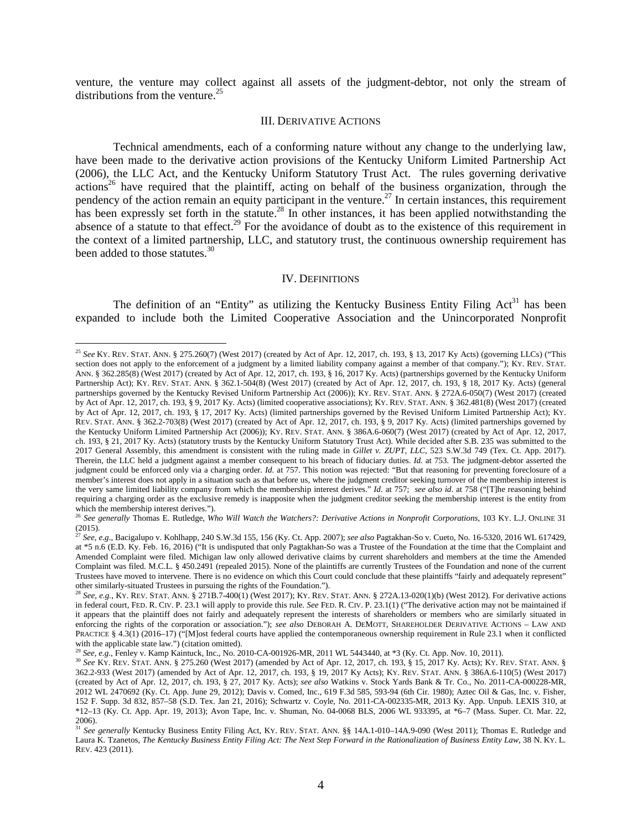venture, the venture may collect against all assets of the judgment-debtor, not only the stream of distributions from the venture.<sup>25</sup>

#### III. DERIVATIVE ACTIONS

Technical amendments, each of a conforming nature without any change to the underlying law, have been made to the derivative action provisions of the Kentucky Uniform Limited Partnership Act (2006), the LLC Act, and the Kentucky Uniform Statutory Trust Act. The rules governing derivative  $\arctan^{26}$  have required that the plaintiff, acting on behalf of the business organization, through the pendency of the action remain an equity participant in the venture.<sup>27</sup> In certain instances, this requirement has been expressly set forth in the statute.<sup>28</sup> In other instances, it has been applied notwithstanding the absence of a statute to that effect.<sup>29</sup> For the avoidance of doubt as to the existence of this requirement in the context of a limited partnership, LLC, and statutory trust, the continuous ownership requirement has been added to those statutes.<sup>30</sup>

#### IV. DEFINITIONS

The definition of an "Entity" as utilizing the Kentucky Business Entity Filing  $Act<sup>31</sup>$  has been expanded to include both the Limited Cooperative Association and the Unincorporated Nonprofit

<sup>25</sup> *See* KY. REV. STAT. ANN. § 275.260(7) (West 2017) (created by Act of Apr. 12, 2017, ch. 193, § 13, 2017 Ky Acts) (governing LLCs) ("This section does not apply to the enforcement of a judgment by a limited liability company against a member of that company."); KY. REV. STAT. ANN. § 362.285(8) (West 2017) (created by Act of Apr. 12, 2017, ch. 193, § 16, 2017 Ky. Acts) (partnerships governed by the Kentucky Uniform Partnership Act); KY. REV. STAT. ANN. § 362.1-504(8) (West 2017) (created by Act of Apr. 12, 2017, ch. 193, § 18, 2017 Ky. Acts) (general partnerships governed by the Kentucky Revised Uniform Partnership Act (2006)); KY. REV. STAT. ANN. § 272A.6-050(7) (West 2017) (created by Act of Apr. 12, 2017, ch. 193, § 9, 2017 Ky. Acts) (limited cooperative associations); KY. REV. STAT. ANN. § 362.481(8) (West 2017) (created by Act of Apr. 12, 2017, ch. 193, § 17, 2017 Ky. Acts) (limited partnerships governed by the Revised Uniform Limited Partnership Act); KY. REV. STAT. ANN. § 362.2-703(8) (West 2017) (created by Act of Apr. 12, 2017, ch. 193, § 9, 2017 Ky. Acts) (limited partnerships governed by the Kentucky Uniform Limited Partnership Act (2006)); KY. REV. STAT. ANN. § 386A.6-060(7) (West 2017) (created by Act of Apr. 12, 2017, ch. 193, § 21, 2017 Ky. Acts) (statutory trusts by the Kentucky Uniform Statutory Trust Act). While decided after S.B. 235 was submitted to the 2017 General Assembly, this amendment is consistent with the ruling made in *Gillet v. ZUPT, LLC*, 523 S.W.3d 749 (Tex. Ct. App. 2017). Therein, the LLC held a judgment against a member consequent to his breach of fiduciary duties. *Id.* at 753. The judgment-debtor asserted the judgment could be enforced only via a charging order. *Id.* at 757. This notion was rejected: "But that reasoning for preventing foreclosure of a member's interest does not apply in a situation such as that before us, where the judgment creditor seeking turnover of the membership interest is the very same limited liability company from which the membership interest derives." *Id*. at 757; *see also id*. at 758 ("[T]he reasoning behind requiring a charging order as the exclusive remedy is inapposite when the judgment creditor seeking the membership interest is the entity from which the membership interest derives.").

<sup>26</sup> *See generally* Thomas E. Rutledge, *Who Will Watch the Watchers?: Derivative Actions in Nonprofit Corporations*, 103 KY. L.J. ONLINE 31 (2015).

<sup>27</sup> *See*, *e*.*g*., Bacigalupo v. Kohlhapp, 240 S.W.3d 155, 156 (Ky. Ct. App. 2007); *see also* Pagtakhan-So v. Cueto, No. 16-5320, 2016 WL 617429, at \*5 n.6 (E.D. Ky. Feb. 16, 2016) ("It is undisputed that only Pagtakhan-So was a Trustee of the Foundation at the time that the Complaint and Amended Complaint were filed. Michigan law only allowed derivative claims by current shareholders and members at the time the Amended Complaint was filed. M.C.L. § 450.2491 (repealed 2015). None of the plaintiffs are currently Trustees of the Foundation and none of the current Trustees have moved to intervene. There is no evidence on which this Court could conclude that these plaintiffs "fairly and adequately represent" other similarly-situated Trustees in pursuing the rights of the Foundation.").

<sup>28</sup> *See, e.g.*, KY. REV. STAT. ANN. § 271B.7-400(1) (West 2017); KY. REV. STAT. ANN. § 272A.13-020(1)(b) (West 2012). For derivative actions in federal court, FED. R. CIV. P. 23.1 will apply to provide this rule. *See* FED. R. CIV. P. 23.1(1) ("The derivative action may not be maintained if it appears that the plaintiff does not fairly and adequately represent the interests of shareholders or members who are similarly situated in enforcing the rights of the corporation or association."); *see also* DEBORAH A. DEMOTT, SHAREHOLDER DERIVATIVE ACTIONS – LAW AND PRACTICE § 4.3(1) (2016–17) ("[M]ost federal courts have applied the contemporaneous ownership requirement in Rule 23.1 when it conflicted with the applicable state law.") (citation omitted).

<sup>29</sup> *See, e.g.*, Fenley v. Kamp Kaintuck, Inc., No. 2010-CA-001926-MR, 2011 WL 5443440, at \*3 (Ky. Ct. App. Nov. 10, 2011).

<sup>30</sup> *See* KY. REV. STAT. ANN. § 275.260 (West 2017) (amended by Act of Apr. 12, 2017, ch. 193, § 15, 2017 Ky. Acts); KY. REV. STAT. ANN. § 362.2-933 (West 2017) (amended by Act of Apr. 12, 2017, ch. 193, § 19, 2017 Ky Acts); KY. REV. STAT. ANN. § 386A.6-110(5) (West 2017) (created by Act of Apr. 12, 2017, ch. 193, § 27, 2017 Ky. Acts); *see also* Watkins v. Stock Yards Bank & Tr. Co., No. 2011-CA-000228-MR, 2012 WL 2470692 (Ky. Ct. App. June 29, 2012); Davis v. Comed, Inc., 619 F.3d 585, 593-94 (6th Cir. 1980); Aztec Oil & Gas, Inc. v. Fisher, 152 F. Supp. 3d 832, 857–58 (S.D. Tex. Jan 21, 2016); Schwartz v. Coyle, No. 2011-CA-002335-MR, 2013 Ky. App. Unpub. LEXIS 310, at \*12–13 (Ky. Ct. App. Apr. 19, 2013); Avon Tape, Inc. v. Shuman, No. 04-0068 BLS, 2006 WL 933395, at \*6–7 (Mass. Super. Ct. Mar. 22, 2006).

<sup>31</sup> *See generally* Kentucky Business Entity Filing Act, KY. REV. STAT. ANN. §§ 14A.1-010–14A.9-090 (West 2011); Thomas E. Rutledge and Laura K. Tzanetos, *The Kentucky Business Entity Filing Act: The Next Step Forward in the Rationalization of Business Entity Law*, 38 N. KY. L. REV. 423 (2011).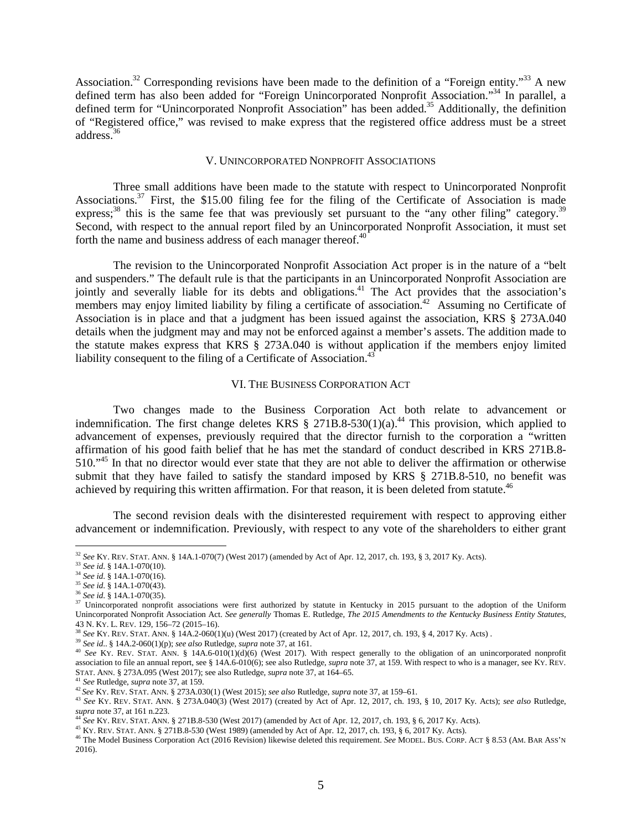Association.<sup>32</sup> Corresponding revisions have been made to the definition of a "Foreign entity."<sup>33</sup> A new defined term has also been added for "Foreign Unincorporated Nonprofit Association."<sup>34</sup> In parallel, a defined term for "Unincorporated Nonprofit Association" has been added.<sup>35</sup> Additionally, the definition of "Registered office," was revised to make express that the registered office address must be a street address.<sup>36</sup>

# V. UNINCORPORATED NONPROFIT ASSOCIATIONS

Three small additions have been made to the statute with respect to Unincorporated Nonprofit Associations.<sup>37</sup> First, the \$15.00 filing fee for the filing of the Certificate of Association is made express;<sup>38</sup> this is the same fee that was previously set pursuant to the "any other filing" category.<sup>39</sup> Second, with respect to the annual report filed by an Unincorporated Nonprofit Association, it must set forth the name and business address of each manager thereof. $40$ 

The revision to the Unincorporated Nonprofit Association Act proper is in the nature of a "belt and suspenders." The default rule is that the participants in an Unincorporated Nonprofit Association are jointly and severally liable for its debts and obligations.<sup>41</sup> The Act provides that the association's members may enjoy limited liability by filing a certificate of association.<sup>42</sup> Assuming no Certificate of Association is in place and that a judgment has been issued against the association, KRS § 273A.040 details when the judgment may and may not be enforced against a member's assets. The addition made to the statute makes express that KRS § 273A.040 is without application if the members enjoy limited liability consequent to the filing of a Certificate of Association.<sup>43</sup>

#### VI. THE BUSINESS CORPORATION ACT

Two changes made to the Business Corporation Act both relate to advancement or indemnification. The first change deletes KRS  $\S$  271B.8-530(1)(a).<sup>44</sup> This provision, which applied to advancement of expenses, previously required that the director furnish to the corporation a "written affirmation of his good faith belief that he has met the standard of conduct described in KRS 271B.8- 510."<sup>45</sup> In that no director would ever state that they are not able to deliver the affirmation or otherwise submit that they have failed to satisfy the standard imposed by KRS § 271B.8-510, no benefit was achieved by requiring this written affirmation. For that reason, it is been deleted from statute.<sup>46</sup>

The second revision deals with the disinterested requirement with respect to approving either advancement or indemnification. Previously, with respect to any vote of the shareholders to either grant

<sup>32</sup> *See* KY. REV. STAT. ANN. § 14A.1-070(7) (West 2017) (amended by Act of Apr. 12, 2017, ch. 193, § 3, 2017 Ky. Acts).

<sup>33</sup> *See id*. § 14A.1-070(10).

<sup>34</sup> *See id*. § 14A.1-070(16).

<sup>35</sup> *See id*. § 14A.1-070(43).

<sup>36</sup> *See id*. § 14A.1-070(35).

<sup>&</sup>lt;sup>37</sup> Unincorporated nonprofit associations were first authorized by statute in Kentucky in 2015 pursuant to the adoption of the Uniform Unincorporated Nonprofit Association Act. *See generally* Thomas E. Rutledge, *The 2015 Amendments to the Kentucky Business Entity Statutes*, 43 N. KY. L. REV. 129, 156–72 (2015–16).

<sup>38</sup> *See* KY. REV. STAT. ANN. § 14A.2-060(1)(u) (West 2017) (created by Act of Apr. 12, 2017, ch. 193, § 4, 2017 Ky. Acts) .

<sup>39</sup> *See id*.. § 14A.2-060(1)(p); *see also* Rutledge, *supra* note 37, at 161.

<sup>&</sup>lt;sup>40</sup> See Ky. REV. STAT. ANN. § 14A.6-010(1)(d)(6) (West 2017). With respect generally to the obligation of an unincorporated nonprofit association to file an annual report, see § 14A.6-010(6); see also Rutledge, *supra* note 37, at 159. With respect to who is a manager, see KY. REV. STAT. ANN. § 273A.095 (West 2017); see also Rutledge, *supra* note 37, at 164–65.

<sup>41</sup> *See* Rutledge, *supra* note 37, at 159.

<sup>42</sup>*See* KY. REV. STAT. ANN. § 273A.030(1) (West 2015); *see also* Rutledge, *supra* note 37, at 159–61.

<sup>43</sup> *See* KY. REV. STAT. ANN. § 273A.040(3) (West 2017) (created by Act of Apr. 12, 2017, ch. 193, § 10, 2017 Ky. Acts); *see also* Rutledge, *supra* note 37, at 161 n.223.

<sup>44</sup> *See* KY. REV. STAT. ANN. § 271B.8-530 (West 2017) (amended by Act of Apr. 12, 2017, ch. 193, § 6, 2017 Ky. Acts).

<sup>45</sup> KY. REV. STAT. ANN. § 271B.8-530 (West 1989) (amended by Act of Apr. 12, 2017, ch. 193, § 6, 2017 Ky. Acts).

<sup>46</sup> The Model Business Corporation Act (2016 Revision) likewise deleted this requirement. *See* MODEL. BUS. CORP. ACT § 8.53 (AM. BAR ASS'N 2016).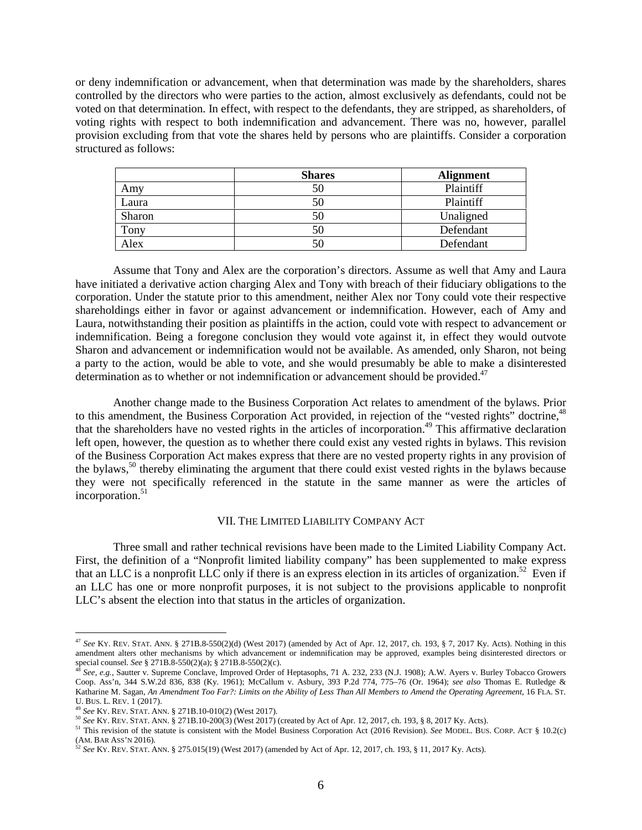or deny indemnification or advancement, when that determination was made by the shareholders, shares controlled by the directors who were parties to the action, almost exclusively as defendants, could not be voted on that determination. In effect, with respect to the defendants, they are stripped, as shareholders, of voting rights with respect to both indemnification and advancement. There was no, however, parallel provision excluding from that vote the shares held by persons who are plaintiffs. Consider a corporation structured as follows:

|        | <b>Shares</b> | <b>Alignment</b> |
|--------|---------------|------------------|
| Amy    | 50            | Plaintiff        |
| Laura  | 50            | Plaintiff        |
| Sharon | 50            | Unaligned        |
| Tony   | 50            | Defendant        |
| Alex   | 50            | Defendant        |

Assume that Tony and Alex are the corporation's directors. Assume as well that Amy and Laura have initiated a derivative action charging Alex and Tony with breach of their fiduciary obligations to the corporation. Under the statute prior to this amendment, neither Alex nor Tony could vote their respective shareholdings either in favor or against advancement or indemnification. However, each of Amy and Laura, notwithstanding their position as plaintiffs in the action, could vote with respect to advancement or indemnification. Being a foregone conclusion they would vote against it, in effect they would outvote Sharon and advancement or indemnification would not be available. As amended, only Sharon, not being a party to the action, would be able to vote, and she would presumably be able to make a disinterested determination as to whether or not indemnification or advancement should be provided.<sup>47</sup>

Another change made to the Business Corporation Act relates to amendment of the bylaws. Prior to this amendment, the Business Corporation Act provided, in rejection of the "vested rights" doctrine,<sup>48</sup> that the shareholders have no vested rights in the articles of incorporation.<sup>49</sup> This affirmative declaration left open, however, the question as to whether there could exist any vested rights in bylaws. This revision of the Business Corporation Act makes express that there are no vested property rights in any provision of the bylaws, $50$  thereby eliminating the argument that there could exist vested rights in the bylaws because they were not specifically referenced in the statute in the same manner as were the articles of incorporation.<sup>51</sup>

### VII. THE LIMITED LIABILITY COMPANY ACT

Three small and rather technical revisions have been made to the Limited Liability Company Act. First, the definition of a "Nonprofit limited liability company" has been supplemented to make express that an LLC is a nonprofit LLC only if there is an express election in its articles of organization.<sup>52</sup> Even if an LLC has one or more nonprofit purposes, it is not subject to the provisions applicable to nonprofit LLC's absent the election into that status in the articles of organization.

<sup>47</sup> *See* KY. REV. STAT. ANN. § 271B.8-550(2)(d) (West 2017) (amended by Act of Apr. 12, 2017, ch. 193, § 7, 2017 Ky. Acts). Nothing in this amendment alters other mechanisms by which advancement or indemnification may be approved, examples being disinterested directors or special counsel. *See* § 271B.8-550(2)(a); § 271B.8-550(2)(c).

<sup>48</sup> *See, e.g.*, Sautter v. Supreme Conclave, Improved Order of Heptasophs, 71 A. 232, 233 (N.J. 1908); A.W. Ayers v. Burley Tobacco Growers Coop. Ass'n, 344 S.W.2d 836, 838 (Ky. 1961); McCallum v. Asbury, 393 P.2d 774, 775–76 (Or. 1964); *see also* Thomas E. Rutledge & Katharine M. Sagan, *An Amendment Too Far?: Limits on the Ability of Less Than All Members to Amend the Operating Agreement*, 16 FLA. ST. U. BUS. L. REV. 1 (2017).

<sup>49</sup> *See* KY. REV. STAT. ANN. § 271B.10-010(2) (West 2017).

<sup>50</sup> *See* KY. REV. STAT. ANN. § 271B.10-200(3) (West 2017) (created by Act of Apr. 12, 2017, ch. 193, § 8, 2017 Ky. Acts).

<sup>51</sup> This revision of the statute is consistent with the Model Business Corporation Act (2016 Revision). *See* MODEL. BUS. CORP. ACT § 10.2(c) (AM. BAR ASS'N 2016).

<sup>52</sup> *See* KY. REV. STAT. ANN. § 275.015(19) (West 2017) (amended by Act of Apr. 12, 2017, ch. 193, § 11, 2017 Ky. Acts).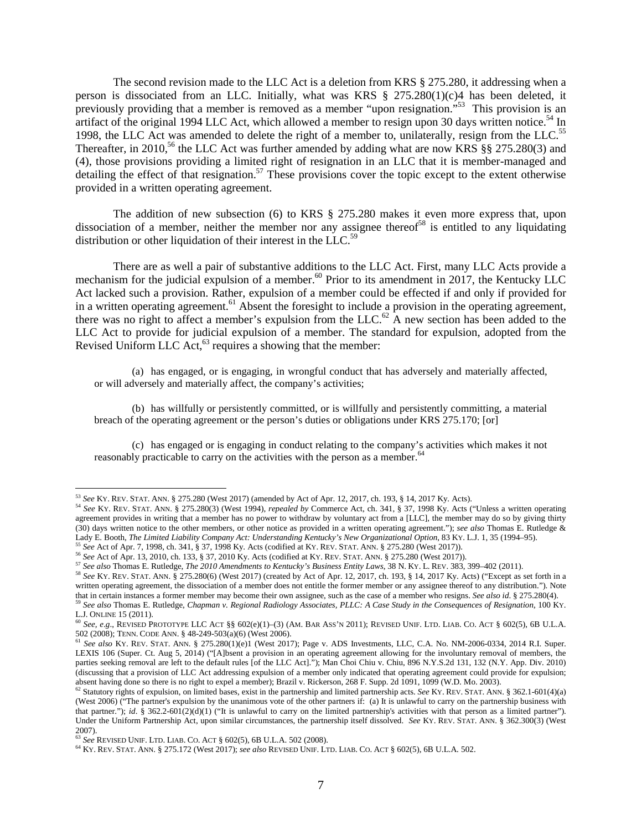The second revision made to the LLC Act is a deletion from KRS § 275.280, it addressing when a person is dissociated from an LLC. Initially, what was KRS § 275.280(1)(c)4 has been deleted, it previously providing that a member is removed as a member "upon resignation."<sup>53</sup> This provision is an artifact of the original 1994 LLC Act, which allowed a member to resign upon 30 days written notice.<sup>54</sup> In 1998, the LLC Act was amended to delete the right of a member to, unilaterally, resign from the LLC.<sup>55</sup> Thereafter, in 2010,<sup>56</sup> the LLC Act was further amended by adding what are now KRS  $\S$ § 275.280(3) and (4), those provisions providing a limited right of resignation in an LLC that it is member-managed and detailing the effect of that resignation.<sup>57</sup> These provisions cover the topic except to the extent otherwise provided in a written operating agreement.

The addition of new subsection (6) to KRS § 275.280 makes it even more express that, upon dissociation of a member, neither the member nor any assignee thereof<sup>58</sup> is entitled to any liquidating distribution or other liquidation of their interest in the LLC.<sup>59</sup>

There are as well a pair of substantive additions to the LLC Act. First, many LLC Acts provide a mechanism for the judicial expulsion of a member.<sup>60</sup> Prior to its amendment in 2017, the Kentucky LLC Act lacked such a provision. Rather, expulsion of a member could be effected if and only if provided for in a written operating agreement.<sup>61</sup> Absent the foresight to include a provision in the operating agreement, there was no right to affect a member's expulsion from the  $LLC$ .<sup>62</sup> A new section has been added to the LLC Act to provide for judicial expulsion of a member. The standard for expulsion, adopted from the Revised Uniform LLC  $Act<sub>0</sub><sup>63</sup>$  requires a showing that the member:

(a) has engaged, or is engaging, in wrongful conduct that has adversely and materially affected, or will adversely and materially affect, the company's activities;

(b) has willfully or persistently committed, or is willfully and persistently committing, a material breach of the operating agreement or the person's duties or obligations under KRS 275.170; [or]

(c) has engaged or is engaging in conduct relating to the company's activities which makes it not reasonably practicable to carry on the activities with the person as a member.<sup>64</sup>

<sup>53</sup> *See* KY. REV. STAT. ANN. § 275.280 (West 2017) (amended by Act of Apr. 12, 2017, ch. 193, § 14, 2017 Ky. Acts).

<sup>54</sup> *See* KY. REV. STAT. ANN. § 275.280(3) (West 1994), *repealed by* Commerce Act, ch. 341, § 37, 1998 Ky. Acts ("Unless a written operating agreement provides in writing that a member has no power to withdraw by voluntary act from a [LLC], the member may do so by giving thirty (30) days written notice to the other members, or other notice as provided in a written operating agreement."); *see also* Thomas E. Rutledge & Lady E. Booth, *The Limited Liability Company Act: Understanding Kentucky's New Organizational Option*, 83 KY. L.J. 1, 35 (1994–95). <sup>55</sup> *See* Act of Apr. 7, 1998, ch. 341, § 37, 1998 Ky. Acts (codified at KY. REV. STAT. ANN. § 275.280 (West 2017)).

<sup>56</sup> *See* Act of Apr. 13, 2010, ch. 133, § 37, 2010 Ky. Acts (codified at KY. REV. STAT. ANN. § 275.280 (West 2017)).

<sup>57</sup> *See also* Thomas E. Rutledge, *The 2010 Amendments to Kentucky's Business Entity Laws*, 38 N. KY. L. REV. 383, 399–402 (2011). <sup>58</sup> *See* KY. REV. STAT. ANN. § 275.280(6) (West 2017) (created by Act of Apr. 12, 2017, ch. 193, § 14, 2017 Ky. Acts) ("Except as set forth in a

written operating agreement, the dissociation of a member does not entitle the former member or any assignee thereof to any distribution."). Note that in certain instances a former member may become their own assignee, such as the case of a member who resigns. *See also id*. § 275.280(4). <sup>59</sup> *See also* Thomas E. Rutledge, *Chapman v. Regional Radiology Associates, PLLC: A Case Study in the Consequences of Resignation*, 100 KY.

L.J. ONLINE 15 (2011). <sup>60</sup> *See, e*.*g*., REVISED PROTOTYPE LLC ACT §§ 602(e)(1)–(3) (AM. BAR ASS'N 2011); REVISED UNIF. LTD. LIAB. CO. ACT § 602(5), 6B U.L.A. 502 (2008); TENN. CODE ANN. § 48-249-503(a)(6) (West 2006).

<sup>61</sup> *See also* KY. REV. STAT. ANN. § 275.280(1)(e)1 (West 2017); Page v. ADS Investments, LLC, C.A. No. NM-2006-0334, 2014 R.I. Super. LEXIS 106 (Super. Ct. Aug 5, 2014) ("[A]bsent a provision in an operating agreement allowing for the involuntary removal of members, the parties seeking removal are left to the default rules [of the LLC Act]."); Man Choi Chiu v. Chiu, 896 N.Y.S.2d 131, 132 (N.Y. App. Div. 2010) (discussing that a provision of LLC Act addressing expulsion of a member only indicated that operating agreement could provide for expulsion; absent having done so there is no right to expel a member); Brazil v. Rickerson, 268 F. Supp. 2d 1091, 1099 (W.D. Mo. 2003).

<sup>62</sup> Statutory rights of expulsion, on limited bases, exist in the partnership and limited partnership acts. *See* KY. REV. STAT. ANN. § 362.1-601(4)(a) (West 2006) ("The partner's expulsion by the unanimous vote of the other partners if: (a) It is unlawful to carry on the partnership business with that partner."); *id.* § 362.2-601(2)(d)(1) ("It is unlawful to carry on the limited partnership's activities with that person as a limited partner"). Under the Uniform Partnership Act, upon similar circumstances, the partnership itself dissolved. *See* KY. REV. STAT. ANN. § 362.300(3) (West 2007).

<sup>63</sup> *See* REVISED UNIF. LTD. LIAB. CO. ACT § 602(5), 6B U.L.A. 502 (2008).

<sup>64</sup> KY. REV. STAT. ANN. § 275.172 (West 2017); *see also* REVISED UNIF. LTD. LIAB. CO. ACT § 602(5), 6B U.L.A. 502.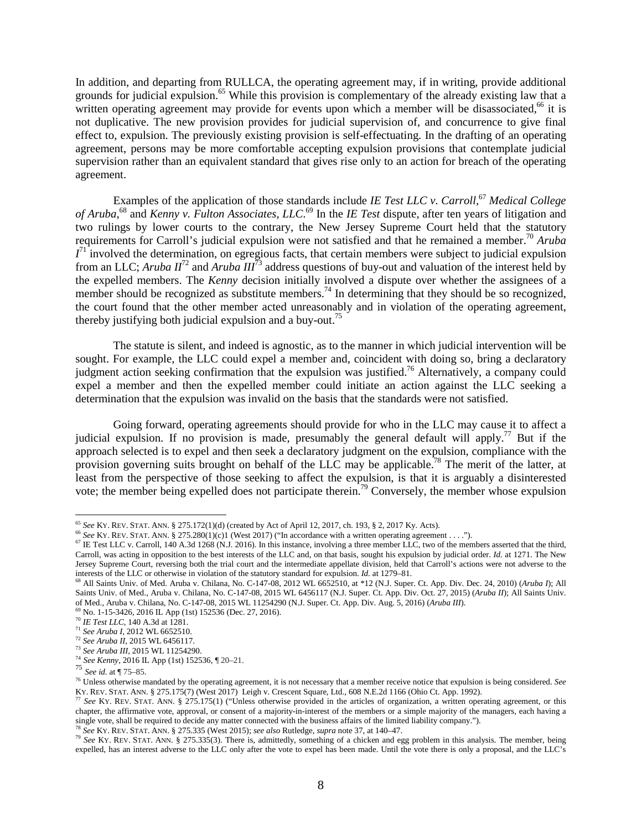In addition, and departing from RULLCA, the operating agreement may, if in writing, provide additional grounds for judicial expulsion.<sup>65</sup> While this provision is complementary of the already existing law that a written operating agreement may provide for events upon which a member will be disassociated,<sup>66</sup> it is not duplicative. The new provision provides for judicial supervision of, and concurrence to give final effect to, expulsion. The previously existing provision is self-effectuating. In the drafting of an operating agreement, persons may be more comfortable accepting expulsion provisions that contemplate judicial supervision rather than an equivalent standard that gives rise only to an action for breach of the operating agreement.

Examples of the application of those standards include *IE Test LLC v. Carroll,*<sup>67</sup> *Medical College of Aruba*, <sup>68</sup> and *Kenny v. Fulton Associates, LLC*. <sup>69</sup> In the *IE Test* dispute, after ten years of litigation and two rulings by lower courts to the contrary, the New Jersey Supreme Court held that the statutory requirements for Carroll's judicial expulsion were not satisfied and that he remained a member.<sup>70</sup> *Aruba*  $I<sup>71</sup>$  involved the determination, on egregious facts, that certain members were subject to judicial expulsion from an LLC; *Aruba II*<sup>72</sup> and *Aruba III*<sup>73</sup> address questions of buy-out and valuation of the interest held by the expelled members. The *Kenny* decision initially involved a dispute over whether the assignees of a member should be recognized as substitute members.<sup>74</sup> In determining that they should be so recognized, the court found that the other member acted unreasonably and in violation of the operating agreement, thereby justifying both judicial expulsion and a buy-out.<sup>75</sup>

The statute is silent, and indeed is agnostic, as to the manner in which judicial intervention will be sought. For example, the LLC could expel a member and, coincident with doing so, bring a declaratory judgment action seeking confirmation that the expulsion was justified.<sup>76</sup> Alternatively, a company could expel a member and then the expelled member could initiate an action against the LLC seeking a determination that the expulsion was invalid on the basis that the standards were not satisfied.

Going forward, operating agreements should provide for who in the LLC may cause it to affect a judicial expulsion. If no provision is made, presumably the general default will apply.<sup>77</sup> But if the approach selected is to expel and then seek a declaratory judgment on the expulsion, compliance with the provision governing suits brought on behalf of the LLC may be applicable.<sup>78</sup> The merit of the latter, at least from the perspective of those seeking to affect the expulsion, is that it is arguably a disinterested vote; the member being expelled does not participate therein.<sup>79</sup> Conversely, the member whose expulsion

<sup>65</sup> *See* KY. REV. STAT. ANN. § 275.172(1)(d) (created by Act of April 12, 2017, ch. 193, § 2, 2017 Ky. Acts).

<sup>66</sup> *See* KY. REV. STAT. ANN. § 275.280(1)(c)1 (West 2017) ("In accordance with a written operating agreement . . . .").

 $67$  IE Test LLC v. Carroll, 140 A.3d 1268 (N.J. 2016). In this instance, involving a three member LLC, two of the members asserted that the third, Carroll, was acting in opposition to the best interests of the LLC and, on that basis, sought his expulsion by judicial order. *Id.* at 1271. The New Jersey Supreme Court, reversing both the trial court and the intermediate appellate division, held that Carroll's actions were not adverse to the interests of the LLC or otherwise in violation of the statutory standard for expulsion. *Id.* at 1279–81.

<sup>68</sup> All Saints Univ. of Med. Aruba v. Chilana, No. C-147-08, 2012 WL 6652510, at \*12 (N.J. Super. Ct. App. Div. Dec. 24, 2010) (*Aruba I*); All Saints Univ. of Med., Aruba v. Chilana, No. C-147-08, 2015 WL 6456117 (N.J. Super. Ct. App. Div. Oct. 27, 2015) (*Aruba II*); All Saints Univ. of Med., Aruba v. Chilana, No. C-147-08, 2015 WL 11254290 (N.J. Super. Ct. App. Div. Aug. 5, 2016) (*Aruba III*).

<sup>69</sup> No. 1-15-3426, 2016 IL App (1st) 152536 (Dec. 27, 2016).

<sup>70</sup> *IE Test LLC*, 140 A.3d at 1281.

<sup>71</sup> *See Aruba I*, 2012 WL 6652510.

<sup>72</sup> *See Aruba II*, 2015 WL 6456117.

<sup>73</sup> *See Aruba III*, 2015 WL 11254290.

<sup>74</sup> *See Kenny*, 2016 IL App (1st) 152536, ¶ 20–21.

<sup>75</sup> *See id.* at ¶ 75–85.

<sup>76</sup> Unless otherwise mandated by the operating agreement, it is not necessary that a member receive notice that expulsion is being considered. *See* KY. REV. STAT. ANN. § 275.175(7) (West 2017) Leigh v. Crescent Square, Ltd., 608 N.E.2d 1166 (Ohio Ct. App. 1992).

<sup>77</sup> *See* KY. REV. STAT. ANN. § 275.175(1) ("Unless otherwise provided in the articles of organization, a written operating agreement, or this chapter, the affirmative vote, approval, or consent of a majority-in-interest of the members or a simple majority of the managers, each having a single vote, shall be required to decide any matter connected with the business affairs of the limited liability company.").

<sup>78</sup> *See* KY. REV. STAT. ANN. § 275.335 (West 2015); *see also* Rutledge, *supra* note 37, at 140–47.

<sup>&</sup>lt;sup>79</sup> See KY. REV. STAT. ANN. § 275.335(3). There is, admittedly, something of a chicken and egg problem in this analysis. The member, being expelled, has an interest adverse to the LLC only after the vote to expel has been made. Until the vote there is only a proposal, and the LLC's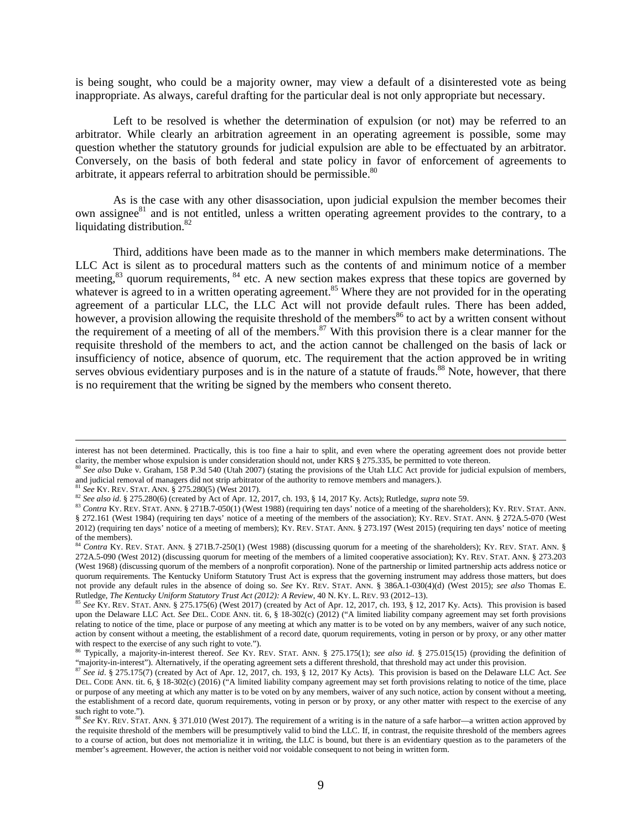is being sought, who could be a majority owner, may view a default of a disinterested vote as being inappropriate. As always, careful drafting for the particular deal is not only appropriate but necessary.

Left to be resolved is whether the determination of expulsion (or not) may be referred to an arbitrator. While clearly an arbitration agreement in an operating agreement is possible, some may question whether the statutory grounds for judicial expulsion are able to be effectuated by an arbitrator. Conversely, on the basis of both federal and state policy in favor of enforcement of agreements to arbitrate, it appears referral to arbitration should be permissible. $80$ 

As is the case with any other disassociation, upon judicial expulsion the member becomes their own assignee<sup>81</sup> and is not entitled, unless a written operating agreement provides to the contrary, to a liquidating distribution. $82$ 

Third, additions have been made as to the manner in which members make determinations. The LLC Act is silent as to procedural matters such as the contents of and minimum notice of a member meeting, $83$  quorum requirements,  $84$  etc. A new section makes express that these topics are governed by whatever is agreed to in a written operating agreement.<sup>85</sup> Where they are not provided for in the operating agreement of a particular LLC, the LLC Act will not provide default rules. There has been added, however, a provision allowing the requisite threshold of the members<sup>86</sup> to act by a written consent without the requirement of a meeting of all of the members.<sup>87</sup> With this provision there is a clear manner for the requisite threshold of the members to act, and the action cannot be challenged on the basis of lack or insufficiency of notice, absence of quorum, etc. The requirement that the action approved be in writing serves obvious evidentiary purposes and is in the nature of a statute of frauds.<sup>88</sup> Note, however, that there is no requirement that the writing be signed by the members who consent thereto.

interest has not been determined. Practically, this is too fine a hair to split, and even where the operating agreement does not provide better clarity, the member whose expulsion is under consideration should not, under KRS § 275.335, be permitted to vote thereon.

<sup>80</sup> See also Duke v. Graham, 158 P.3d 540 (Utah 2007) (stating the provisions of the Utah LLC Act provide for judicial expulsion of members, and judicial removal of managers did not strip arbitrator of the authority to remove members and managers.).

<sup>81</sup> *See* KY. REV. STAT. ANN. § 275.280(5) (West 2017).

<sup>82</sup> *See also id*. § 275.280(6) (created by Act of Apr. 12, 2017, ch. 193, § 14, 2017 Ky. Acts); Rutledge, *supra* note 59.

<sup>83</sup> Contra KY. REV. STAT. ANN. § 271B.7-050(1) (West 1988) (requiring ten days' notice of a meeting of the shareholders); KY. REV. STAT. ANN. § 272.161 (West 1984) (requiring ten days' notice of a meeting of the members of the association); KY. REV. STAT. ANN. § 272A.5-070 (West 2012) (requiring ten days' notice of a meeting of members); KY. REV. STAT. ANN. § 273.197 (West 2015) (requiring ten days' notice of meeting  $\frac{1}{\sqrt{2}}$  of the members).

<sup>84</sup> *Contra* KY. REV. STAT. ANN. § 271B.7-250(1) (West 1988) (discussing quorum for a meeting of the shareholders); KY. REV. STAT. ANN. § 272A.5-090 (West 2012) (discussing quorum for meeting of the members of a limited cooperative association); KY. REV. STAT. ANN. § 273.203 (West 1968) (discussing quorum of the members of a nonprofit corporation). None of the partnership or limited partnership acts address notice or quorum requirements. The Kentucky Uniform Statutory Trust Act is express that the governing instrument may address those matters, but does not provide any default rules in the absence of doing so. *See* KY. REV. STAT. ANN. § 386A.1-030(4)(d) (West 2015); *see also* Thomas E. Rutledge, *The Kentucky Uniform Statutory Trust Act (2012): A Review*, 40 N. KY. L. REV. 93 (2012–13).

<sup>&</sup>lt;sup>85</sup> See KY. REV. STAT. ANN. § 275.175(6) (West 2017) (created by Act of Apr. 12, 2017, ch. 193, § 12, 2017 Ky. Acts). This provision is based upon the Delaware LLC Act. *See* DEL. CODE ANN. tit. 6, § 18-302(c) (2012) ("A limited liability company agreement may set forth provisions relating to notice of the time, place or purpose of any meeting at which any matter is to be voted on by any members, waiver of any such notice, action by consent without a meeting, the establishment of a record date, quorum requirements, voting in person or by proxy, or any other matter with respect to the exercise of any such right to vote.").

<sup>86</sup> Typically, a majority-in-interest thereof. *See* KY. REV. STAT. ANN. § 275.175(1); *see also id*. § 275.015(15) (providing the definition of "majority-in-interest"). Alternatively, if the operating agreement sets a different threshold, that threshold may act under this provision.

<sup>87</sup> *See id*. § 275.175(7) (created by Act of Apr. 12, 2017, ch. 193, § 12, 2017 Ky Acts). This provision is based on the Delaware LLC Act. *See* DEL. CODE ANN. tit. 6, § 18-302(c) (2016) ("A limited liability company agreement may set forth provisions relating to notice of the time, place or purpose of any meeting at which any matter is to be voted on by any members, waiver of any such notice, action by consent without a meeting, the establishment of a record date, quorum requirements, voting in person or by proxy, or any other matter with respect to the exercise of any such right to vote.").

<sup>&</sup>lt;sup>88</sup> See KY. REV. STAT. ANN. § 371.010 (West 2017). The requirement of a writing is in the nature of a safe harbor—a written action approved by the requisite threshold of the members will be presumptively valid to bind the LLC. If, in contrast, the requisite threshold of the members agrees to a course of action, but does not memorialize it in writing, the LLC is bound, but there is an evidentiary question as to the parameters of the member's agreement. However, the action is neither void nor voidable consequent to not being in written form.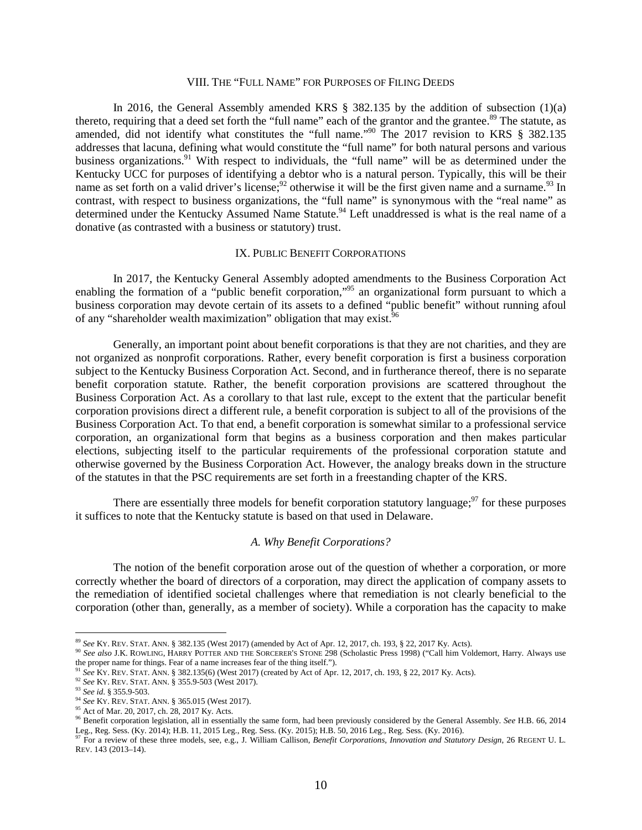# VIII. THE "FULL NAME" FOR PURPOSES OF FILING DEEDS

In 2016, the General Assembly amended KRS  $\S$  382.135 by the addition of subsection (1)(a) thereto, requiring that a deed set forth the "full name" each of the grantor and the grantee.<sup>89</sup> The statute, as amended, did not identify what constitutes the "full name."<sup>90</sup> The 2017 revision to KRS § 382.135 addresses that lacuna, defining what would constitute the "full name" for both natural persons and various business organizations.<sup>91</sup> With respect to individuals, the "full name" will be as determined under the Kentucky UCC for purposes of identifying a debtor who is a natural person. Typically, this will be their name as set forth on a valid driver's license;  $^{92}$  otherwise it will be the first given name and a surname.  $^{93}$  In contrast, with respect to business organizations, the "full name" is synonymous with the "real name" as determined under the Kentucky Assumed Name Statute.<sup>94</sup> Left unaddressed is what is the real name of a donative (as contrasted with a business or statutory) trust.

# IX. PUBLIC BENEFIT CORPORATIONS

In 2017, the Kentucky General Assembly adopted amendments to the Business Corporation Act enabling the formation of a "public benefit corporation,"<sup>95</sup> an organizational form pursuant to which a business corporation may devote certain of its assets to a defined "public benefit" without running afoul of any "shareholder wealth maximization" obligation that may exist.<sup>96</sup>

Generally, an important point about benefit corporations is that they are not charities, and they are not organized as nonprofit corporations. Rather, every benefit corporation is first a business corporation subject to the Kentucky Business Corporation Act. Second, and in furtherance thereof, there is no separate benefit corporation statute. Rather, the benefit corporation provisions are scattered throughout the Business Corporation Act. As a corollary to that last rule, except to the extent that the particular benefit corporation provisions direct a different rule, a benefit corporation is subject to all of the provisions of the Business Corporation Act. To that end, a benefit corporation is somewhat similar to a professional service corporation, an organizational form that begins as a business corporation and then makes particular elections, subjecting itself to the particular requirements of the professional corporation statute and otherwise governed by the Business Corporation Act. However, the analogy breaks down in the structure of the statutes in that the PSC requirements are set forth in a freestanding chapter of the KRS.

There are essentially three models for benefit corporation statutory language;  $97$  for these purposes it suffices to note that the Kentucky statute is based on that used in Delaware.

### *A. Why Benefit Corporations?*

The notion of the benefit corporation arose out of the question of whether a corporation, or more correctly whether the board of directors of a corporation, may direct the application of company assets to the remediation of identified societal challenges where that remediation is not clearly beneficial to the corporation (other than, generally, as a member of society). While a corporation has the capacity to make

<sup>89</sup> *See* KY. REV. STAT. ANN. § 382.135 (West 2017) (amended by Act of Apr. 12, 2017, ch. 193, § 22, 2017 Ky. Acts).

<sup>&</sup>lt;sup>90</sup> See also J.K. ROWLING, HARRY POTTER AND THE SORCERER'S STONE 298 (Scholastic Press 1998) ("Call him Voldemort, Harry. Always use the proper name for things. Fear of a name increases fear of the thing itself.").

<sup>91</sup> *See* KY. REV. STAT. ANN. § 382.135(6) (West 2017) (created by Act of Apr. 12, 2017, ch. 193, § 22, 2017 Ky. Acts).

<sup>92</sup> *See* KY. REV. STAT. ANN. § 355.9-503 (West 2017).

<sup>93</sup> *See id*. § 355.9-503.

<sup>94</sup> *See* KY. REV. STAT. ANN. § 365.015 (West 2017).

<sup>95</sup> Act of Mar. 20, 2017, ch. 28, 2017 Ky. Acts.

<sup>96</sup> Benefit corporation legislation, all in essentially the same form, had been previously considered by the General Assembly. *See* H.B. 66, 2014 Leg., Reg. Sess. (Ky. 2014); H.B. 11, 2015 Leg., Reg. Sess. (Ky. 2015); H.B. 50, 2016 Leg., Reg. Sess. (Ky. 2016).

<sup>97</sup> For a review of these three models, see, e.g., J. William Callison, *Benefit Corporations, Innovation and Statutory Design*, 26 REGENT U. L. REV. 143 (2013–14).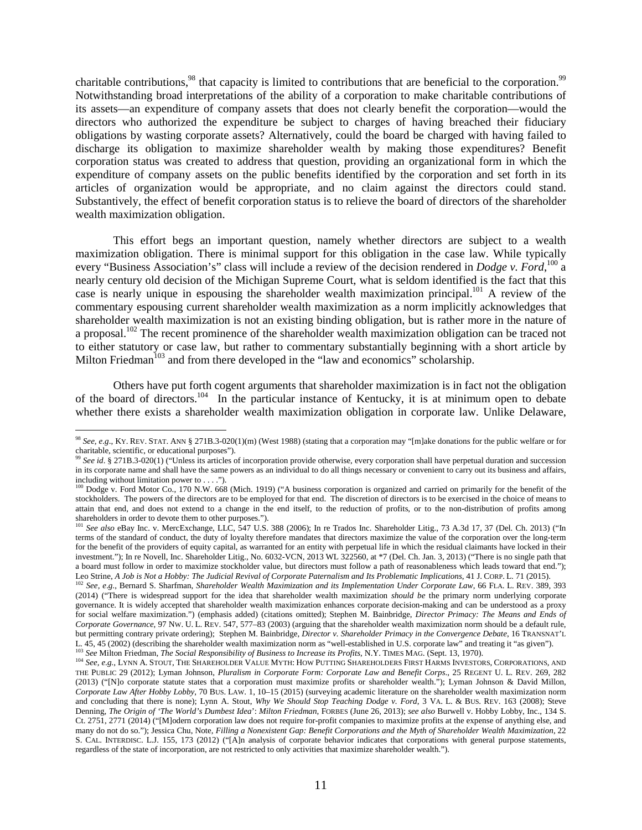charitable contributions,<sup>98</sup> that capacity is limited to contributions that are beneficial to the corporation.<sup>99</sup> Notwithstanding broad interpretations of the ability of a corporation to make charitable contributions of its assets—an expenditure of company assets that does not clearly benefit the corporation—would the directors who authorized the expenditure be subject to charges of having breached their fiduciary obligations by wasting corporate assets? Alternatively, could the board be charged with having failed to discharge its obligation to maximize shareholder wealth by making those expenditures? Benefit corporation status was created to address that question, providing an organizational form in which the expenditure of company assets on the public benefits identified by the corporation and set forth in its articles of organization would be appropriate, and no claim against the directors could stand. Substantively, the effect of benefit corporation status is to relieve the board of directors of the shareholder wealth maximization obligation.

This effort begs an important question, namely whether directors are subject to a wealth maximization obligation. There is minimal support for this obligation in the case law. While typically every "Business Association's" class will include a review of the decision rendered in *Dodge v. Ford*, <sup>100</sup> a nearly century old decision of the Michigan Supreme Court, what is seldom identified is the fact that this case is nearly unique in espousing the shareholder wealth maximization principal.<sup>101</sup> A review of the commentary espousing current shareholder wealth maximization as a norm implicitly acknowledges that shareholder wealth maximization is not an existing binding obligation, but is rather more in the nature of a proposal.<sup>102</sup> The recent prominence of the shareholder wealth maximization obligation can be traced not to either statutory or case law, but rather to commentary substantially beginning with a short article by Milton Friedman<sup>103</sup> and from there developed in the "law and economics" scholarship.

Others have put forth cogent arguments that shareholder maximization is in fact not the obligation of the board of directors.<sup>104</sup> In the particular instance of Kentucky, it is at minimum open to debate whether there exists a shareholder wealth maximization obligation in corporate law. Unlike Delaware,

<sup>98</sup> *See, e*.*g*., KY. REV. STAT. ANN § 271B.3-020(1)(m) (West 1988) (stating that a corporation may "[m]ake donations for the public welfare or for charitable, scientific, or educational purposes").

<sup>99</sup> *See id*. § 271B.3-020(1) ("Unless its articles of incorporation provide otherwise, every corporation shall have perpetual duration and succession in its corporate name and shall have the same powers as an individual to do all things necessary or convenient to carry out its business and affairs, including without limitation power to . . . .").

<sup>&</sup>lt;sup>100</sup> Dodge v. Ford Motor Co., 170 N.W. 668 (Mich. 1919) ("A business corporation is organized and carried on primarily for the benefit of the stockholders. The powers of the directors are to be employed for that end. The discretion of directors is to be exercised in the choice of means to attain that end, and does not extend to a change in the end itself, to the reduction of profits, or to the non-distribution of profits among shareholders in order to devote them to other purposes.").

<sup>101</sup> *See also* eBay Inc. v. MercExchange, LLC, 547 U.S. 388 (2006); In re Trados Inc. Shareholder Litig., 73 A.3d 17, 37 (Del. Ch. 2013) ("In terms of the standard of conduct, the duty of loyalty therefore mandates that directors maximize the value of the corporation over the long-term for the benefit of the providers of equity capital, as warranted for an entity with perpetual life in which the residual claimants have locked in their investment."); In re Novell, Inc. Shareholder Litig., No. 6032-VCN, 2013 WL 322560, at \*7 (Del. Ch. Jan. 3, 2013) ("There is no single path that a board must follow in order to maximize stockholder value, but directors must follow a path of reasonableness which leads toward that end."); Leo Strine, *A Job is Not a Hobby: The Judicial Revival of Corporate Paternalism and Its Problematic Implications*, 41 J. CORP. L. 71 (2015).

<sup>102</sup> *See, e*.*g.*, Bernard S. Sharfman, *Shareholder Wealth Maximization and its Implementation Under Corporate Law*, 66 FLA. L. REV. 389, 393 (2014) ("There is widespread support for the idea that shareholder wealth maximization *should be* the primary norm underlying corporate governance. It is widely accepted that shareholder wealth maximization enhances corporate decision-making and can be understood as a proxy for social welfare maximization.") (emphasis added) (citations omitted); Stephen M. Bainbridge, *Director Primacy: The Means and Ends of Corporate Governance*, 97 NW. U. L. REV. 547, 577–83 (2003) (arguing that the shareholder wealth maximization norm should be a default rule, but permitting contrary private ordering); Stephen M. Bainbridge, *Director v. Shareholder Primacy in the Convergence Debate*, 16 TRANSNAT'L L. 45, 45 (2002) (describing the shareholder wealth maximization norm as "well-established in U.S. corporate law" and treating it "as given"). <sup>103</sup> *See* Milton Friedman, *The Social Responsibility of Business to Increase its Profits*, N.Y. TIMES MAG. (Sept. 13, 1970).

<sup>&</sup>lt;sup>104</sup> *See, e.g.*, LYNN A. STOUT, THE SHAREHOLDER VALUE MYTH: HOW PUTTING SHAREHOLDERS FIRST HARMS INVESTORS, CORPORATIONS, AND THE PUBLIC 29 (2012); Lyman Johnson, *Pluralism in Corporate Form: Corporate Law and Benefit Corps*., 25 REGENT U. L. REV. 269, 282 (2013) ("[N]o corporate statute states that a corporation must maximize profits or shareholder wealth."); Lyman Johnson & David Millon, *Corporate Law After Hobby Lobby*, 70 BUS. LAW. 1, 10–15 (2015) (surveying academic literature on the shareholder wealth maximization norm and concluding that there is none); Lynn A. Stout, *Why We Should Stop Teaching Dodge v. Ford*, 3 VA. L. & BUS. REV. 163 (2008); Steve Denning, *The Origin of 'The World's Dumbest Idea*': *Milton Friedman*, FORBES (June 26, 2013); *see also* Burwell v. Hobby Lobby, Inc., 134 S. Ct. 2751, 2771 (2014) ("[M]odern corporation law does not require for-profit companies to maximize profits at the expense of anything else, and many do not do so."); Jessica Chu, Note, *Filling a Nonexistent Gap: Benefit Corporations and the Myth of Shareholder Wealth Maximization*, 22 S. CAL. INTERDISC. L.J. 155, 173 (2012) ("[A]n analysis of corporate behavior indicates that corporations with general purpose statements, regardless of the state of incorporation, are not restricted to only activities that maximize shareholder wealth.").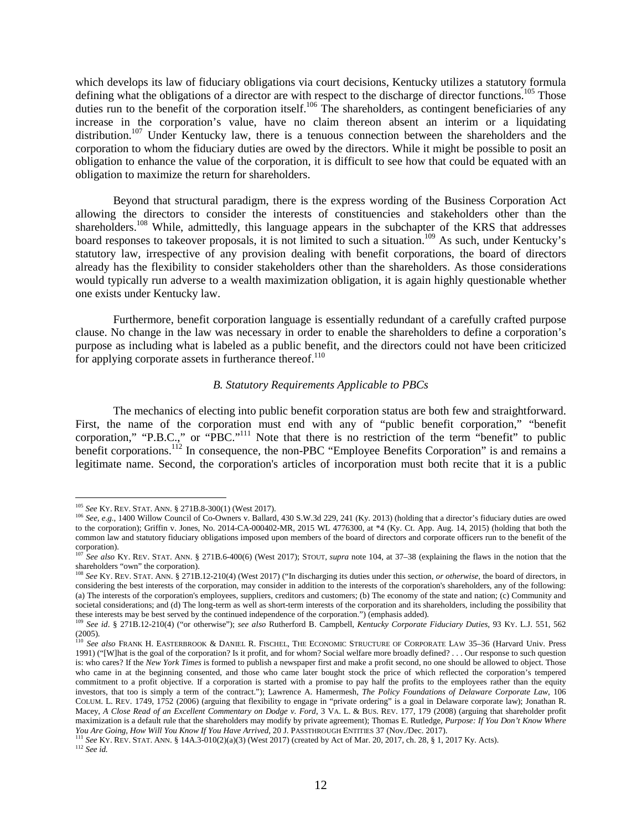which develops its law of fiduciary obligations via court decisions, Kentucky utilizes a statutory formula defining what the obligations of a director are with respect to the discharge of director functions.<sup>105</sup> Those duties run to the benefit of the corporation itself.<sup>106</sup> The shareholders, as contingent beneficiaries of any increase in the corporation's value, have no claim thereon absent an interim or a liquidating distribution.<sup>107</sup> Under Kentucky law, there is a tenuous connection between the shareholders and the corporation to whom the fiduciary duties are owed by the directors. While it might be possible to posit an obligation to enhance the value of the corporation, it is difficult to see how that could be equated with an obligation to maximize the return for shareholders.

Beyond that structural paradigm, there is the express wording of the Business Corporation Act allowing the directors to consider the interests of constituencies and stakeholders other than the shareholders.<sup>108</sup> While, admittedly, this language appears in the subchapter of the KRS that addresses board responses to takeover proposals, it is not limited to such a situation.<sup>109</sup> As such, under Kentucky's statutory law, irrespective of any provision dealing with benefit corporations, the board of directors already has the flexibility to consider stakeholders other than the shareholders. As those considerations would typically run adverse to a wealth maximization obligation, it is again highly questionable whether one exists under Kentucky law.

Furthermore, benefit corporation language is essentially redundant of a carefully crafted purpose clause. No change in the law was necessary in order to enable the shareholders to define a corporation's purpose as including what is labeled as a public benefit, and the directors could not have been criticized for applying corporate assets in furtherance thereof. $110$ 

### *B. Statutory Requirements Applicable to PBCs*

The mechanics of electing into public benefit corporation status are both few and straightforward. First, the name of the corporation must end with any of "public benefit corporation," "benefit corporation," "P.B.C.," or "PBC."<sup>111</sup> Note that there is no restriction of the term "benefit" to public benefit corporations.<sup>112</sup> In consequence, the non-PBC "Employee Benefits Corporation" is and remains a legitimate name. Second, the corporation's articles of incorporation must both recite that it is a public

<sup>105</sup> *See* KY. REV. STAT. ANN. § 271B.8-300(1) (West 2017).

<sup>&</sup>lt;sup>106</sup> *See, e.g.*, 1400 Willow Council of Co-Owners v. Ballard, 430 S.W.3d 229, 241 (Ky. 2013) (holding that a director's fiduciary duties are owed to the corporation); Griffin v. Jones, No. 2014-CA-000402-MR, 2015 WL 4776300, at \*4 (Ky. Ct. App. Aug. 14, 2015) (holding that both the common law and statutory fiduciary obligations imposed upon members of the board of directors and corporate officers run to the benefit of the corporation).

<sup>107</sup> *See also* KY. REV. STAT. ANN. § 271B.6-400(6) (West 2017); STOUT, *supra* note 104, at 37–38 (explaining the flaws in the notion that the shareholders "own" the corporation).

<sup>108</sup> *See* KY. REV. STAT. ANN. § 271B.12-210(4) (West 2017) ("In discharging its duties under this section, *or otherwise*, the board of directors, in considering the best interests of the corporation, may consider in addition to the interests of the corporation's shareholders, any of the following: (a) The interests of the corporation's employees, suppliers, creditors and customers; (b) The economy of the state and nation; (c) Community and societal considerations; and (d) The long-term as well as short-term interests of the corporation and its shareholders, including the possibility that these interests may be best served by the continued independence of the corporation.") (emphasis added).

<sup>109</sup> *See id*. § 271B.12-210(4) ("or otherwise"); *see also* Rutherford B. Campbell, *Kentucky Corporate Fiduciary Duties*, 93 KY. L.J. 551, 562 (2005).

<sup>110</sup> *See also* FRANK H. EASTERBROOK & DANIEL R. FISCHEL, THE ECONOMIC STRUCTURE OF CORPORATE LAW 35–36 (Harvard Univ. Press 1991) ("[W]hat is the goal of the corporation? Is it profit, and for whom? Social welfare more broadly defined? . . . Our response to such question is: who cares? If the *New York Times* is formed to publish a newspaper first and make a profit second, no one should be allowed to object. Those who came in at the beginning consented, and those who came later bought stock the price of which reflected the corporation's tempered commitment to a profit objective. If a corporation is started with a promise to pay half the profits to the employees rather than the equity investors, that too is simply a term of the contract."); Lawrence A. Hamermesh, *The Policy Foundations of Delaware Corporate Law*, 106 COLUM. L. REV. 1749, 1752 (2006) (arguing that flexibility to engage in "private ordering" is a goal in Delaware corporate law); Jonathan R. Macey, *A Close Read of an Excellent Commentary on Dodge v. Ford*, 3 VA. L. & BUS. REV. 177, 179 (2008) (arguing that shareholder profit maximization is a default rule that the shareholders may modify by private agreement); Thomas E. Rutledge, *Purpose: If You Don't Know Where You Are Going, How Will You Know If You Have Arrived*, 20 J. PASSTHROUGH ENTITIES 37 (Nov./Dec. 2017).

<sup>111</sup> *See* KY. REV. STAT. ANN. § 14A.3-010(2)(a)(3) (West 2017) (created by Act of Mar. 20, 2017, ch. 28, § 1, 2017 Ky. Acts). <sup>112</sup> *See id.*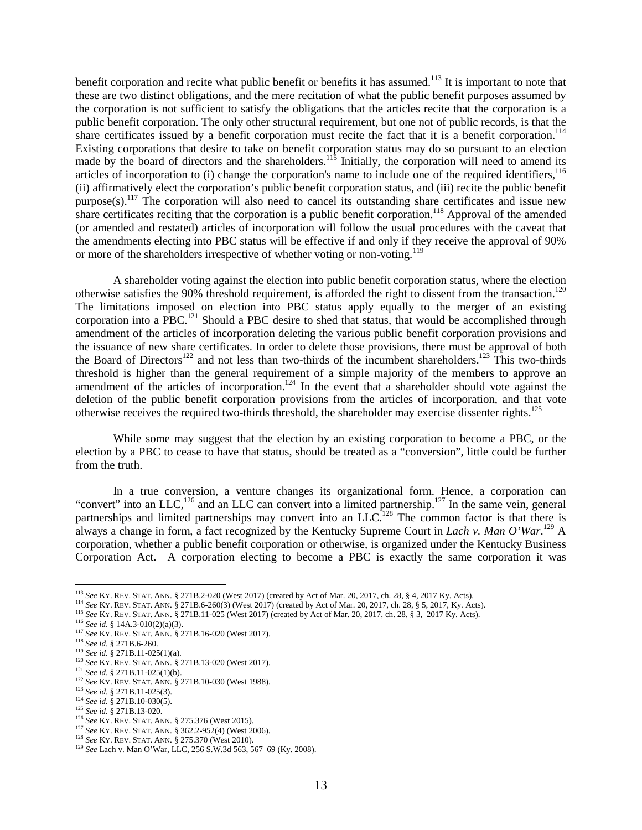benefit corporation and recite what public benefit or benefits it has assumed.<sup>113</sup> It is important to note that these are two distinct obligations, and the mere recitation of what the public benefit purposes assumed by the corporation is not sufficient to satisfy the obligations that the articles recite that the corporation is a public benefit corporation. The only other structural requirement, but one not of public records, is that the share certificates issued by a benefit corporation must recite the fact that it is a benefit corporation.<sup>114</sup> Existing corporations that desire to take on benefit corporation status may do so pursuant to an election made by the board of directors and the shareholders.<sup>115</sup> Initially, the corporation will need to amend its articles of incorporation to  $(i)$  change the corporation's name to include one of the required identifiers,  $116$ (ii) affirmatively elect the corporation's public benefit corporation status, and (iii) recite the public benefit  $purpose(s)$ .<sup>117</sup> The corporation will also need to cancel its outstanding share certificates and issue new share certificates reciting that the corporation is a public benefit corporation.<sup>118</sup> Approval of the amended (or amended and restated) articles of incorporation will follow the usual procedures with the caveat that the amendments electing into PBC status will be effective if and only if they receive the approval of 90% or more of the shareholders irrespective of whether voting or non-voting.<sup>119</sup>

A shareholder voting against the election into public benefit corporation status, where the election otherwise satisfies the 90% threshold requirement, is afforded the right to dissent from the transaction.<sup>120</sup> The limitations imposed on election into PBC status apply equally to the merger of an existing corporation into a PBC.<sup>121</sup> Should a PBC desire to shed that status, that would be accomplished through amendment of the articles of incorporation deleting the various public benefit corporation provisions and the issuance of new share certificates. In order to delete those provisions, there must be approval of both the Board of Directors<sup>122</sup> and not less than two-thirds of the incumbent shareholders.<sup>123</sup> This two-thirds threshold is higher than the general requirement of a simple majority of the members to approve an amendment of the articles of incorporation.<sup>124</sup> In the event that a shareholder should vote against the deletion of the public benefit corporation provisions from the articles of incorporation, and that vote otherwise receives the required two-thirds threshold, the shareholder may exercise dissenter rights.<sup>125</sup>

While some may suggest that the election by an existing corporation to become a PBC, or the election by a PBC to cease to have that status, should be treated as a "conversion", little could be further from the truth.

In a true conversion, a venture changes its organizational form. Hence, a corporation can "convert" into an LLC,<sup>126</sup> and an LLC can convert into a limited partnership.<sup>127</sup> In the same vein, general partnerships and limited partnerships may convert into an LLC.<sup>128</sup> The common factor is that there is always a change in form, a fact recognized by the Kentucky Supreme Court in *Lach v. Man O'War*. <sup>129</sup> A corporation, whether a public benefit corporation or otherwise, is organized under the Kentucky Business Corporation Act. A corporation electing to become a PBC is exactly the same corporation it was

<sup>113</sup> *See* KY. REV. STAT. ANN. § 271B.2-020 (West 2017) (created by Act of Mar. 20, 2017, ch. 28, § 4, 2017 Ky. Acts).

<sup>114</sup> *See* KY. REV. STAT. ANN. § 271B.6-260(3) (West 2017) (created by Act of Mar. 20, 2017, ch. 28, § 5, 2017, Ky. Acts).

<sup>115</sup> *See* KY. REV. STAT. ANN. § 271B.11-025 (West 2017) (created by Act of Mar. 20, 2017, ch. 28, § 3, 2017 Ky. Acts).

<sup>116</sup> *See id*. § 14A.3-010(2)(a)(3).

<sup>117</sup> *See* KY. REV. STAT. ANN. § 271B.16-020 (West 2017).

<sup>118</sup> *See id*. § 271B.6-260.

<sup>119</sup> *See id*. § 271B.11-025(1)(a).

<sup>120</sup> *See* KY. REV. STAT. ANN. § 271B.13-020 (West 2017).

<sup>121</sup> *See id*. § 271B.11-025(1)(b).

<sup>122</sup> *See* KY. REV. STAT. ANN. § 271B.10-030 (West 1988).

<sup>123</sup> *See id*. § 271B.11-025(3).

<sup>124</sup> *See id*. § 271B.10-030(5).

<sup>125</sup> *See id*. § 271B.13-020.

<sup>126</sup> *See* KY. REV. STAT. ANN. § 275.376 (West 2015).

<sup>127</sup> *See* KY. REV. STAT. ANN. § 362.2-952(4) (West 2006).

<sup>128</sup> *See* KY. REV. STAT. ANN. § 275.370 (West 2010).

<sup>129</sup> *See* Lach v. Man O'War, LLC, 256 S.W.3d 563, 567–69 (Ky. 2008).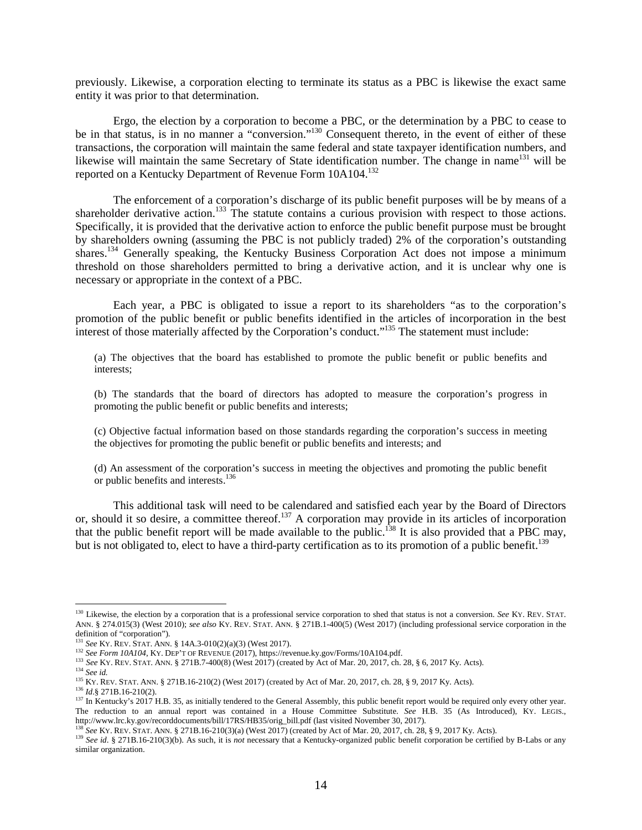previously. Likewise, a corporation electing to terminate its status as a PBC is likewise the exact same entity it was prior to that determination.

Ergo, the election by a corporation to become a PBC, or the determination by a PBC to cease to be in that status, is in no manner a "conversion."<sup>130</sup> Consequent thereto, in the event of either of these transactions, the corporation will maintain the same federal and state taxpayer identification numbers, and likewise will maintain the same Secretary of State identification number. The change in name<sup>131</sup> will be reported on a Kentucky Department of Revenue Form 10A104.<sup>132</sup>

The enforcement of a corporation's discharge of its public benefit purposes will be by means of a shareholder derivative action.<sup>133</sup> The statute contains a curious provision with respect to those actions. Specifically, it is provided that the derivative action to enforce the public benefit purpose must be brought by shareholders owning (assuming the PBC is not publicly traded) 2% of the corporation's outstanding shares.<sup>134</sup> Generally speaking, the Kentucky Business Corporation Act does not impose a minimum threshold on those shareholders permitted to bring a derivative action, and it is unclear why one is necessary or appropriate in the context of a PBC.

Each year, a PBC is obligated to issue a report to its shareholders "as to the corporation's promotion of the public benefit or public benefits identified in the articles of incorporation in the best interest of those materially affected by the Corporation's conduct."<sup>135</sup> The statement must include:

(a) The objectives that the board has established to promote the public benefit or public benefits and interests;

(b) The standards that the board of directors has adopted to measure the corporation's progress in promoting the public benefit or public benefits and interests;

(c) Objective factual information based on those standards regarding the corporation's success in meeting the objectives for promoting the public benefit or public benefits and interests; and

(d) An assessment of the corporation's success in meeting the objectives and promoting the public benefit or public benefits and interests.<sup>136</sup>

This additional task will need to be calendared and satisfied each year by the Board of Directors or, should it so desire, a committee thereof.<sup>137</sup> A corporation may provide in its articles of incorporation that the public benefit report will be made available to the public.<sup>138</sup> It is also provided that a PBC may, but is not obligated to, elect to have a third-party certification as to its promotion of a public benefit.<sup>139</sup>

<sup>&</sup>lt;sup>130</sup> Likewise, the election by a corporation that is a professional service corporation to shed that status is not a conversion. *See* KY. REV. STAT. ANN. § 274.015(3) (West 2010); *see also* KY. REV. STAT. ANN. § 271B.1-400(5) (West 2017) (including professional service corporation in the definition of "corporation").

<sup>131</sup> *See* KY. REV. STAT. ANN. § 14A.3-010(2)(a)(3) (West 2017).

<sup>132</sup> *See Form 10A104*, KY. DEP'T OF REVENUE (2017), https://revenue.ky.gov/Forms/10A104.pdf.

<sup>133</sup> *See* KY. REV. STAT. ANN. § 271B.7-400(8) (West 2017) (created by Act of Mar. 20, 2017, ch. 28, § 6, 2017 Ky. Acts).

<sup>134</sup> *See id.*

<sup>135</sup> KY. REV. STAT. ANN. § 271B.16-210(2) (West 2017) (created by Act of Mar. 20, 2017, ch. 28, § 9, 2017 Ky. Acts).

<sup>136</sup> *Id*.§ 271B.16-210(2).

<sup>&</sup>lt;sup>137</sup> In Kentucky's 2017 H.B. 35, as initially tendered to the General Assembly, this public benefit report would be required only every other year. The reduction to an annual report was contained in a House Committee Substitute. *See* H.B. 35 (As Introduced), KY. LEGIS., http://www.lrc.ky.gov/recorddocuments/bill/17RS/HB35/orig\_bill.pdf (last visited November 30, 2017).

<sup>138</sup> *See* KY. REV. STAT. ANN. § 271B.16-210(3)(a) (West 2017) (created by Act of Mar. 20, 2017, ch. 28, § 9, 2017 Ky. Acts).

<sup>&</sup>lt;sup>139</sup> See id. § 271B.16-210(3)(b). As such, it is *not* necessary that a Kentucky-organized public benefit corporation be certified by B-Labs or any similar organization.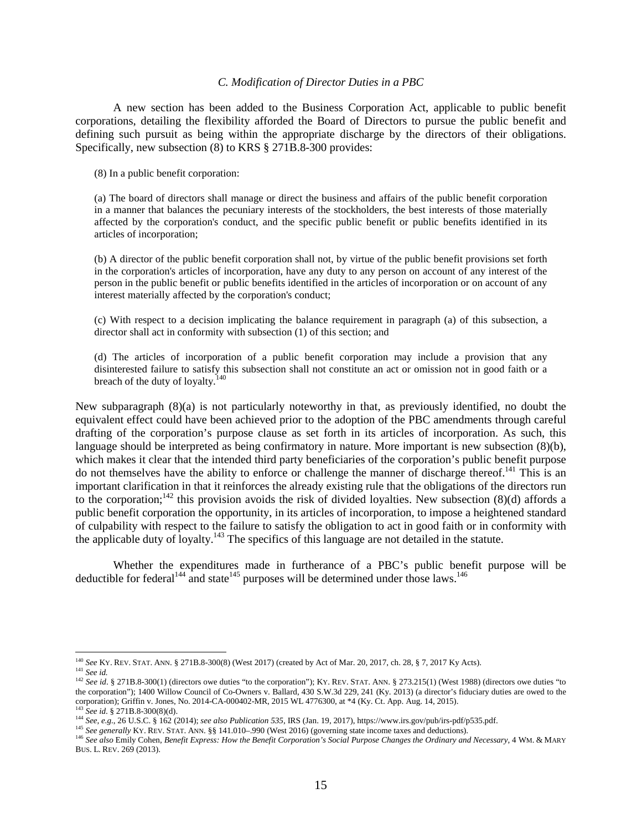### *C. Modification of Director Duties in a PBC*

A new section has been added to the Business Corporation Act, applicable to public benefit corporations, detailing the flexibility afforded the Board of Directors to pursue the public benefit and defining such pursuit as being within the appropriate discharge by the directors of their obligations. Specifically, new subsection (8) to KRS § 271B.8-300 provides:

(8) In a public benefit corporation:

(a) The board of directors shall manage or direct the business and affairs of the public benefit corporation in a manner that balances the pecuniary interests of the stockholders, the best interests of those materially affected by the corporation's conduct, and the specific public benefit or public benefits identified in its articles of incorporation;

(b) A director of the public benefit corporation shall not, by virtue of the public benefit provisions set forth in the corporation's articles of incorporation, have any duty to any person on account of any interest of the person in the public benefit or public benefits identified in the articles of incorporation or on account of any interest materially affected by the corporation's conduct;

(c) With respect to a decision implicating the balance requirement in paragraph (a) of this subsection, a director shall act in conformity with subsection (1) of this section; and

(d) The articles of incorporation of a public benefit corporation may include a provision that any disinterested failure to satisfy this subsection shall not constitute an act or omission not in good faith or a breach of the duty of loyalty.<sup>140</sup>

New subparagraph (8)(a) is not particularly noteworthy in that, as previously identified, no doubt the equivalent effect could have been achieved prior to the adoption of the PBC amendments through careful drafting of the corporation's purpose clause as set forth in its articles of incorporation. As such, this language should be interpreted as being confirmatory in nature. More important is new subsection (8)(b), which makes it clear that the intended third party beneficiaries of the corporation's public benefit purpose do not themselves have the ability to enforce or challenge the manner of discharge thereof.<sup>141</sup> This is an important clarification in that it reinforces the already existing rule that the obligations of the directors run to the corporation;<sup>142</sup> this provision avoids the risk of divided loyalties. New subsection (8)(d) affords a public benefit corporation the opportunity, in its articles of incorporation, to impose a heightened standard of culpability with respect to the failure to satisfy the obligation to act in good faith or in conformity with the applicable duty of loyalty.<sup>143</sup> The specifics of this language are not detailed in the statute.

Whether the expenditures made in furtherance of a PBC's public benefit purpose will be deductible for federal<sup>144</sup> and state<sup>145</sup> purposes will be determined under those laws.<sup>146</sup>

<sup>140</sup> *See* KY. REV. STAT. ANN. § 271B.8-300(8) (West 2017) (created by Act of Mar. 20, 2017, ch. 28, § 7, 2017 Ky Acts). <sup>141</sup> *See id.*

<sup>&</sup>lt;sup>142</sup> See id. § 271B.8-300(1) (directors owe duties "to the corporation"); KY. REV. STAT. ANN. § 273.215(1) (West 1988) (directors owe duties "to the corporation"); 1400 Willow Council of Co-Owners v. Ballard, 430 S.W.3d 229, 241 (Ky. 2013) (a director's fiduciary duties are owed to the corporation); Griffin v. Jones, No. 2014-CA-000402-MR, 2015 WL 4776300, at \*4 (Ky. Ct. App. Aug. 14, 2015). <sup>143</sup> *See id*. § 271B.8-300(8)(d).

<sup>144</sup> *See, e.g.*, 26 U.S.C. § 162 (2014); *see also Publication 535*, IRS (Jan. 19, 2017), https://www.irs.gov/pub/irs-pdf/p535.pdf.

<sup>&</sup>lt;sup>145</sup> See generally KY. REV. STAT. ANN. §§ 141.010–.990 (West 2016) (governing state income taxes and deductions).

<sup>146</sup> *See also* Emily Cohen, *Benefit Express: How the Benefit Corporation's Social Purpose Changes the Ordinary and Necessary*, 4 WM. & MARY BUS. L. REV. 269 (2013).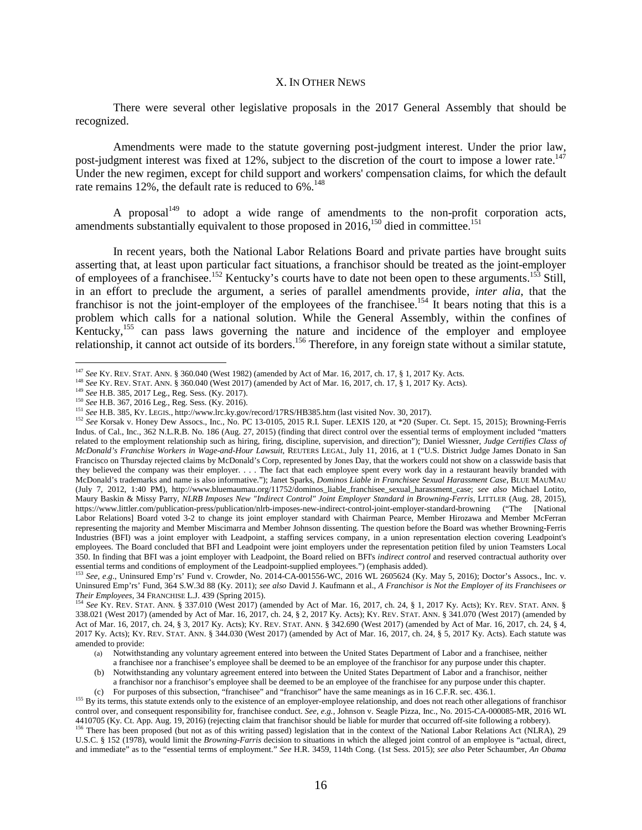### X. IN OTHER NEWS

There were several other legislative proposals in the 2017 General Assembly that should be recognized.

Amendments were made to the statute governing post-judgment interest. Under the prior law, post-judgment interest was fixed at 12%, subject to the discretion of the court to impose a lower rate.<sup>147</sup> Under the new regimen, except for child support and workers' compensation claims, for which the default rate remains  $12\%$ , the default rate is reduced to  $6\%$ .<sup>148</sup>

A proposal<sup>149</sup> to adopt a wide range of amendments to the non-profit corporation acts, amendments substantially equivalent to those proposed in  $2016$ ,<sup>150</sup> died in committee.<sup>151</sup>

In recent years, both the National Labor Relations Board and private parties have brought suits asserting that, at least upon particular fact situations, a franchisor should be treated as the joint-employer of employees of a franchisee.<sup>152</sup> Kentucky's courts have to date not been open to these arguments.<sup>153</sup> Still, in an effort to preclude the argument, a series of parallel amendments provide, *inter alia*, that the franchisor is not the joint-employer of the employees of the franchisee.<sup>154</sup> It bears noting that this is a problem which calls for a national solution. While the General Assembly, within the confines of Kentucky,<sup>155</sup> can pass laws governing the nature and incidence of the employer and employee relationship, it cannot act outside of its borders.<sup>156</sup> Therefore, in any foreign state without a similar statute,

<sup>147</sup> *See* KY. REV. STAT. ANN. § 360.040 (West 1982) (amended by Act of Mar. 16, 2017, ch. 17, § 1, 2017 Ky. Acts.

<sup>148</sup> *See* KY. REV. STAT. ANN. § 360.040 (West 2017) (amended by Act of Mar. 16, 2017, ch. 17, § 1, 2017 Ky. Acts).

<sup>149</sup> *See* H.B. 385, 2017 Leg., Reg. Sess. (Ky. 2017).

<sup>150</sup> *See* H.B. 367, 2016 Leg., Reg. Sess. (Ky. 2016).

<sup>151</sup> *See* H.B. 385, KY. LEGIS., http://www.lrc.ky.gov/record/17RS/HB385.htm (last visited Nov. 30, 2017).

<sup>152</sup> *See* Korsak v. Honey Dew Assocs., Inc., No. PC 13-0105, 2015 R.I. Super. LEXIS 120, at \*20 (Super. Ct. Sept. 15, 2015); Browning-Ferris Indus. of Cal., Inc., 362 N.L.R.B. No. 186 (Aug. 27, 2015) (finding that direct control over the essential terms of employment included "matters related to the employment relationship such as hiring, firing, discipline, supervision, and direction"); Daniel Wiessner, *Judge Certifies Class of McDonald's Franchise Workers in Wage-and-Hour Lawsuit*, REUTERS LEGAL, July 11, 2016, at 1 ("U.S. District Judge James Donato in San Francisco on Thursday rejected claims by McDonald's Corp, represented by Jones Day, that the workers could not show on a classwide basis that they believed the company was their employer. . . . The fact that each employee spent every work day in a restaurant heavily branded with McDonald's trademarks and name is also informative."); Janet Sparks, *Dominos Liable in Franchisee Sexual Harassment Case*, BLUE MAUMAU (July 7, 2012, 1:40 PM), http://www.bluemaumau.org/11752/dominos\_liable\_franchisee\_sexual\_harassment\_case; *see also* Michael Lotito, Maury Baskin & Missy Parry, *NLRB Imposes New "Indirect Control" Joint Employer Standard in Browning-Ferris*, LITTLER (Aug. 28, 2015), https://www.littler.com/publication-press/publication/nlrb-imposes-new-indirect-control-joint-employer-standard-browning ("The [National Labor Relations] Board voted 3-2 to change its joint employer standard with Chairman Pearce, Member Hirozawa and Member McFerran representing the majority and Member Miscimarra and Member Johnson dissenting. The question before the Board was whether Browning-Ferris Industries (BFI) was a joint employer with Leadpoint, a staffing services company, in a union representation election covering Leadpoint's employees. The Board concluded that BFI and Leadpoint were joint employers under the representation petition filed by union Teamsters Local 350. In finding that BFI was a joint employer with Leadpoint, the Board relied on BFI's *indirect control* and reserved contractual authority over essential terms and conditions of employment of the Leadpoint-supplied employees.") (emphasis added).

<sup>153</sup> *See, e*.*g*., Uninsured Emp'rs' Fund v. Crowder, No. 2014-CA-001556-WC, 2016 WL 2605624 (Ky. May 5, 2016); Doctor's Assocs., Inc. v. Uninsured Emp'rs' Fund, 364 S.W.3d 88 (Ky. 2011); *see also* David J. Kaufmann et al., *A Franchisor is Not the Employer of its Franchisees or Their Employees*, 34 FRANCHISE L.J. 439 (Spring 2015).

<sup>154</sup> *See* KY. REV. STAT. ANN. § 337.010 (West 2017) (amended by Act of Mar. 16, 2017, ch. 24, § 1, 2017 Ky. Acts); KY. REV. STAT. ANN. § 338.021 (West 2017) (amended by Act of Mar. 16, 2017, ch. 24, § 2, 2017 Ky. Acts); KY. REV. STAT. ANN. § 341.070 (West 2017) (amended by Act of Mar. 16, 2017, ch. 24, § 3, 2017 Ky. Acts); KY. REV. STAT. ANN. § 342.690 (West 2017) (amended by Act of Mar. 16, 2017, ch. 24, § 4, 2017 Ky. Acts); KY. REV. STAT. ANN. § 344.030 (West 2017) (amended by Act of Mar. 16, 2017, ch. 24, § 5, 2017 Ky. Acts). Each statute was amended to provide:

<sup>(</sup>a) Notwithstanding any voluntary agreement entered into between the United States Department of Labor and a franchisee, neither a franchisee nor a franchisee's employee shall be deemed to be an employee of the franchisor for any purpose under this chapter.

<sup>(</sup>b) Notwithstanding any voluntary agreement entered into between the United States Department of Labor and a franchisor, neither a franchisor nor a franchisor's employee shall be deemed to be an employee of the franchisee for any purpose under this chapter.

<sup>(</sup>c) For purposes of this subsection, "franchisee" and "franchisor" have the same meanings as in 16 C.F.R. sec. 436.1.

<sup>&</sup>lt;sup>155</sup> By its terms, this statute extends only to the existence of an employer-employee relationship, and does not reach other allegations of franchisor control over, and consequent responsibility for, franchisee conduct. *See, e.g.*, Johnson v. Seagle Pizza, Inc., No. 2015-CA-000085-MR, 2016 WL 4410705 (Ky. Ct. App. Aug. 19, 2016) (rejecting claim that franchisor should be liable for murder that occurred off-site following a robbery). <sup>156</sup> There has been proposed (but not as of this writing passed) legislation that in the context of the National Labor Relations Act (NLRA), 29 U.S.C. § 152 (1978), would limit the *Browning-Farris* decision to situations in which the alleged joint control of an employee is "actual, direct, and immediate" as to the "essential terms of employment." *See* H.R. 3459, 114th Cong. (1st Sess. 2015); *see also* Peter Schaumber, *An Obama*